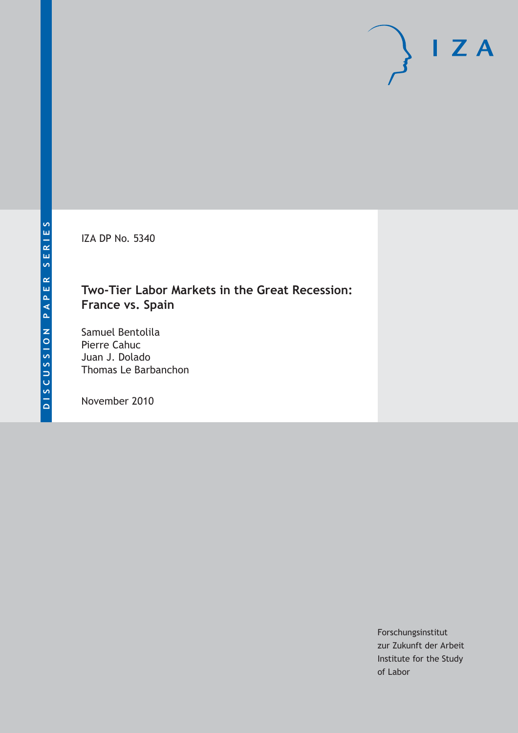IZA DP No. 5340

## **Two-Tier Labor Markets in the Great Recession: France vs. Spain**

Samuel Bentolila Pierre Cahuc Juan J. Dolado Thomas Le Barbanchon

November 2010

Forschungsinstitut zur Zukunft der Arbeit Institute for the Study of Labor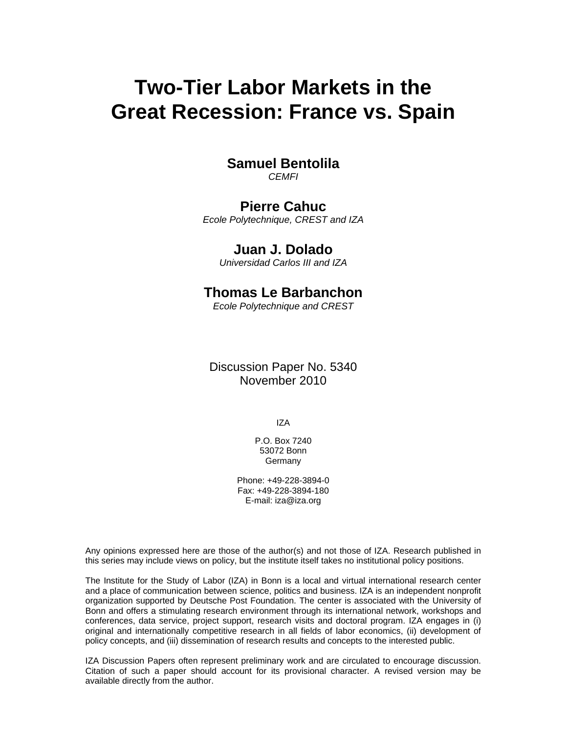# **Two-Tier Labor Markets in the Great Recession: France vs. Spain**

## **Samuel Bentolila**

*CEMFI* 

### **Pierre Cahuc**

*Ecole Polytechnique, CREST and IZA* 

### **Juan J. Dolado**

*Universidad Carlos III and IZA* 

## **Thomas Le Barbanchon**

*Ecole Polytechnique and CREST* 

Discussion Paper No. 5340 November 2010

IZA

P.O. Box 7240 53072 Bonn Germany

Phone: +49-228-3894-0 Fax: +49-228-3894-180 E-mail: iza@iza.org

Any opinions expressed here are those of the author(s) and not those of IZA. Research published in this series may include views on policy, but the institute itself takes no institutional policy positions.

The Institute for the Study of Labor (IZA) in Bonn is a local and virtual international research center and a place of communication between science, politics and business. IZA is an independent nonprofit organization supported by Deutsche Post Foundation. The center is associated with the University of Bonn and offers a stimulating research environment through its international network, workshops and conferences, data service, project support, research visits and doctoral program. IZA engages in (i) original and internationally competitive research in all fields of labor economics, (ii) development of policy concepts, and (iii) dissemination of research results and concepts to the interested public.

IZA Discussion Papers often represent preliminary work and are circulated to encourage discussion. Citation of such a paper should account for its provisional character. A revised version may be available directly from the author.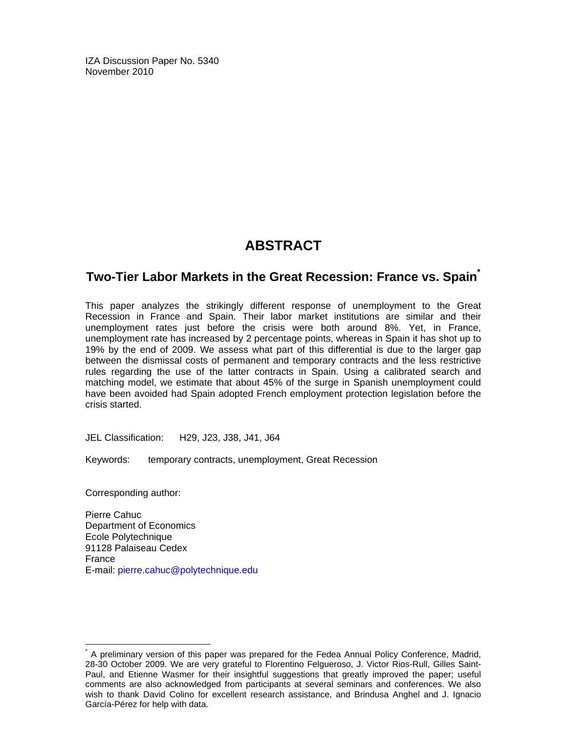IZA Discussion Paper No. 5340 November 2010

## **ABSTRACT**

### **Two-Tier Labor Markets in the Great Recession: France vs. Spain\***

This paper analyzes the strikingly different response of unemployment to the Great Recession in France and Spain. Their labor market institutions are similar and their unemployment rates just before the crisis were both around 8%. Yet, in France, unemployment rate has increased by 2 percentage points, whereas in Spain it has shot up to 19% by the end of 2009. We assess what part of this differential is due to the larger gap between the dismissal costs of permanent and temporary contracts and the less restrictive rules regarding the use of the latter contracts in Spain. Using a calibrated search and matching model, we estimate that about 45% of the surge in Spanish unemployment could have been avoided had Spain adopted French employment protection legislation before the crisis started.

JEL Classification: H29, J23, J38, J41, J64

Keywords: temporary contracts, unemployment, Great Recession

Corresponding author:

-

Pierre Cahuc Department of Economics Ecole Polytechnique 91128 Palaiseau Cedex France E-mail: pierre.cahuc@polytechnique.edu

<sup>\*</sup> A preliminary version of this paper was prepared for the Fedea Annual Policy Conference, Madrid, 28-30 October 2009. We are very grateful to Florentino Felgueroso, J. Victor Rios-Rull, Gilles Saint-Paul, and Etienne Wasmer for their insightful suggestions that greatly improved the paper; useful comments are also acknowledged from participants at several seminars and conferences. We also wish to thank David Colino for excellent research assistance, and Brindusa Anghel and J. Ignacio García-Pérez for help with data.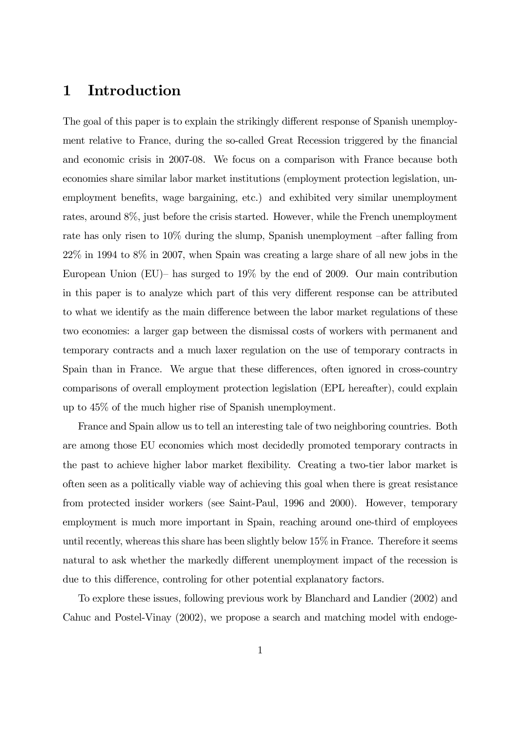## 1 Introduction

The goal of this paper is to explain the strikingly different response of Spanish unemployment relative to France, during the so-called Great Recession triggered by the financial and economic crisis in 2007-08. We focus on a comparison with France because both economies share similar labor market institutions (employment protection legislation, unemployment benefits, wage bargaining, etc.) and exhibited very similar unemployment rates, around 8%, just before the crisis started. However, while the French unemployment rate has only risen to 10% during the slump, Spanish unemployment —after falling from 22% in 1994 to 8% in 2007, when Spain was creating a large share of all new jobs in the European Union (EU)— has surged to 19% by the end of 2009. Our main contribution in this paper is to analyze which part of this very different response can be attributed to what we identify as the main difference between the labor market regulations of these two economies: a larger gap between the dismissal costs of workers with permanent and temporary contracts and a much laxer regulation on the use of temporary contracts in Spain than in France. We argue that these differences, often ignored in cross-country comparisons of overall employment protection legislation (EPL hereafter), could explain up to 45% of the much higher rise of Spanish unemployment.

France and Spain allow us to tell an interesting tale of two neighboring countries. Both are among those EU economies which most decidedly promoted temporary contracts in the past to achieve higher labor market flexibility. Creating a two-tier labor market is often seen as a politically viable way of achieving this goal when there is great resistance from protected insider workers (see Saint-Paul, 1996 and 2000). However, temporary employment is much more important in Spain, reaching around one-third of employees until recently, whereas this share has been slightly below 15% in France. Therefore it seems natural to ask whether the markedly different unemployment impact of the recession is due to this difference, controling for other potential explanatory factors.

To explore these issues, following previous work by Blanchard and Landier (2002) and Cahuc and Postel-Vinay (2002), we propose a search and matching model with endoge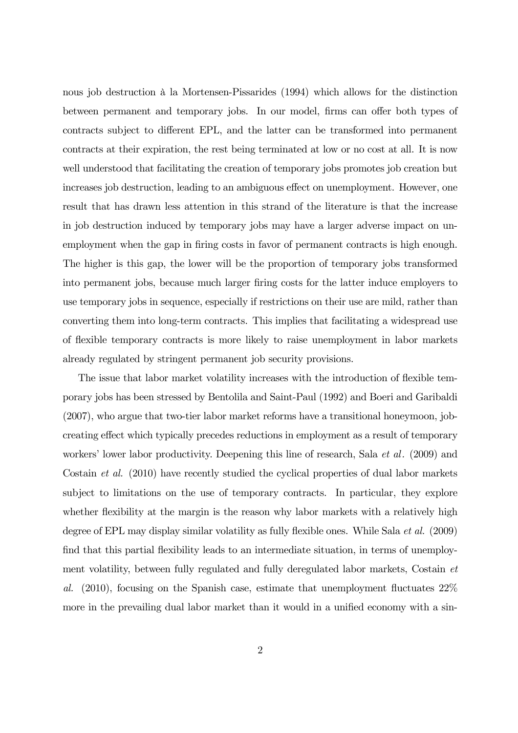nous job destruction à la Mortensen-Pissarides (1994) which allows for the distinction between permanent and temporary jobs. In our model, firms can offer both types of contracts subject to different EPL, and the latter can be transformed into permanent contracts at their expiration, the rest being terminated at low or no cost at all. It is now well understood that facilitating the creation of temporary jobs promotes job creation but increases job destruction, leading to an ambiguous effect on unemployment. However, one result that has drawn less attention in this strand of the literature is that the increase in job destruction induced by temporary jobs may have a larger adverse impact on unemployment when the gap in firing costs in favor of permanent contracts is high enough. The higher is this gap, the lower will be the proportion of temporary jobs transformed into permanent jobs, because much larger firing costs for the latter induce employers to use temporary jobs in sequence, especially if restrictions on their use are mild, rather than converting them into long-term contracts. This implies that facilitating a widespread use of flexible temporary contracts is more likely to raise unemployment in labor markets already regulated by stringent permanent job security provisions.

The issue that labor market volatility increases with the introduction of flexible temporary jobs has been stressed by Bentolila and Saint-Paul (1992) and Boeri and Garibaldi (2007), who argue that two-tier labor market reforms have a transitional honeymoon, jobcreating effect which typically precedes reductions in employment as a result of temporary workers' lower labor productivity. Deepening this line of research, Sala *et al.* (2009) and Costain et al. (2010) have recently studied the cyclical properties of dual labor markets subject to limitations on the use of temporary contracts. In particular, they explore whether flexibility at the margin is the reason why labor markets with a relatively high degree of EPL may display similar volatility as fully flexible ones. While Sala et al. (2009) find that this partial flexibility leads to an intermediate situation, in terms of unemployment volatility, between fully regulated and fully deregulated labor markets, Costain et al. (2010), focusing on the Spanish case, estimate that unemployment fluctuates 22% more in the prevailing dual labor market than it would in a unified economy with a sin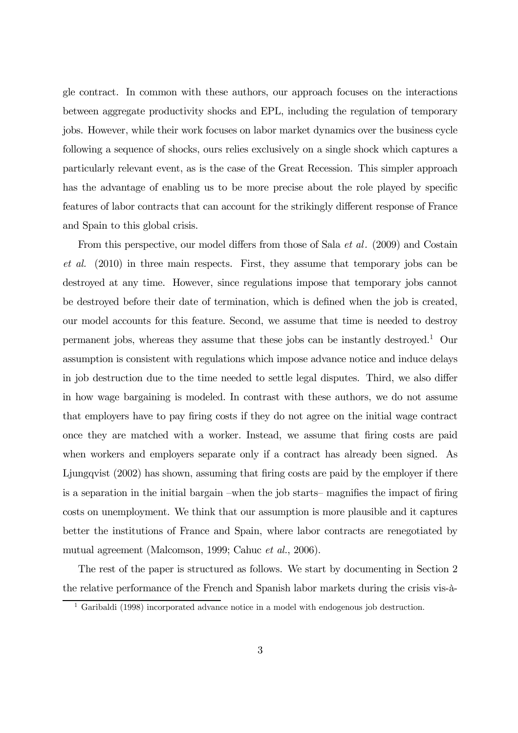gle contract. In common with these authors, our approach focuses on the interactions between aggregate productivity shocks and EPL, including the regulation of temporary jobs. However, while their work focuses on labor market dynamics over the business cycle following a sequence of shocks, ours relies exclusively on a single shock which captures a particularly relevant event, as is the case of the Great Recession. This simpler approach has the advantage of enabling us to be more precise about the role played by specific features of labor contracts that can account for the strikingly different response of France and Spain to this global crisis.

From this perspective, our model differs from those of Sala *et al.* (2009) and Costain et al. (2010) in three main respects. First, they assume that temporary jobs can be destroyed at any time. However, since regulations impose that temporary jobs cannot be destroyed before their date of termination, which is defined when the job is created, our model accounts for this feature. Second, we assume that time is needed to destroy permanent jobs, whereas they assume that these jobs can be instantly destroyed.<sup>1</sup> Our assumption is consistent with regulations which impose advance notice and induce delays in job destruction due to the time needed to settle legal disputes. Third, we also differ in how wage bargaining is modeled. In contrast with these authors, we do not assume that employers have to pay firing costs if they do not agree on the initial wage contract once they are matched with a worker. Instead, we assume that firing costs are paid when workers and employers separate only if a contract has already been signed. As Ljungqvist (2002) has shown, assuming that firing costs are paid by the employer if there is a separation in the initial bargain —when the job starts— magnifies the impact of firing costs on unemployment. We think that our assumption is more plausible and it captures better the institutions of France and Spain, where labor contracts are renegotiated by mutual agreement (Malcomson, 1999; Cahuc et al., 2006).

The rest of the paper is structured as follows. We start by documenting in Section 2 the relative performance of the French and Spanish labor markets during the crisis vis-à-

<sup>1</sup> Garibaldi (1998) incorporated advance notice in a model with endogenous job destruction.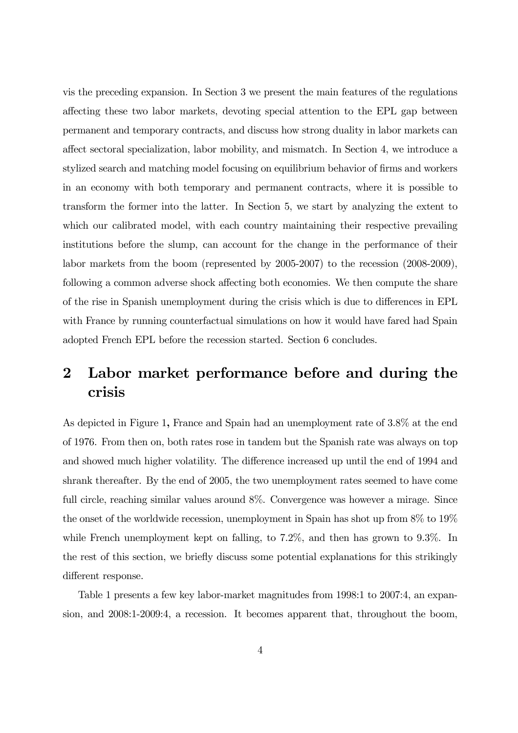vis the preceding expansion. In Section 3 we present the main features of the regulations affecting these two labor markets, devoting special attention to the EPL gap between permanent and temporary contracts, and discuss how strong duality in labor markets can affect sectoral specialization, labor mobility, and mismatch. In Section 4, we introduce a stylized search and matching model focusing on equilibrium behavior of firms and workers in an economy with both temporary and permanent contracts, where it is possible to transform the former into the latter. In Section 5, we start by analyzing the extent to which our calibrated model, with each country maintaining their respective prevailing institutions before the slump, can account for the change in the performance of their labor markets from the boom (represented by 2005-2007) to the recession (2008-2009), following a common adverse shock affecting both economies. We then compute the share of the rise in Spanish unemployment during the crisis which is due to differences in EPL with France by running counterfactual simulations on how it would have fared had Spain adopted French EPL before the recession started. Section 6 concludes.

## 2 Labor market performance before and during the crisis

As depicted in Figure 1, France and Spain had an unemployment rate of 3.8% at the end of 1976. From then on, both rates rose in tandem but the Spanish rate was always on top and showed much higher volatility. The difference increased up until the end of 1994 and shrank thereafter. By the end of 2005, the two unemployment rates seemed to have come full circle, reaching similar values around  $8\%$ . Convergence was however a mirage. Since the onset of the worldwide recession, unemployment in Spain has shot up from 8% to 19% while French unemployment kept on falling, to 7.2%, and then has grown to 9.3%. In the rest of this section, we briefly discuss some potential explanations for this strikingly different response.

Table 1 presents a few key labor-market magnitudes from 1998:1 to 2007:4, an expansion, and 2008:1-2009:4, a recession. It becomes apparent that, throughout the boom,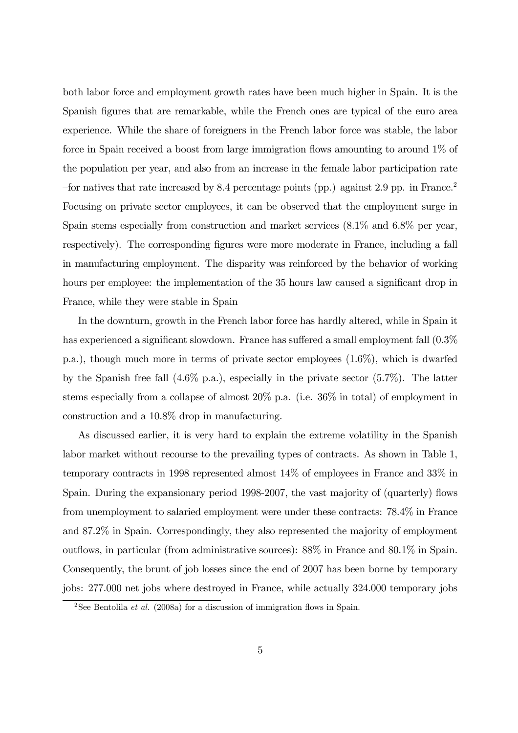both labor force and employment growth rates have been much higher in Spain. It is the Spanish figures that are remarkable, while the French ones are typical of the euro area experience. While the share of foreigners in the French labor force was stable, the labor force in Spain received a boost from large immigration flows amounting to around 1% of the population per year, and also from an increase in the female labor participation rate —for natives that rate increased by 8.4 percentage points (pp.) against 2.9 pp. in France.2 Focusing on private sector employees, it can be observed that the employment surge in Spain stems especially from construction and market services (8.1% and 6.8% per year, respectively). The corresponding figures were more moderate in France, including a fall in manufacturing employment. The disparity was reinforced by the behavior of working hours per employee: the implementation of the 35 hours law caused a significant drop in France, while they were stable in Spain

In the downturn, growth in the French labor force has hardly altered, while in Spain it has experienced a significant slowdown. France has suffered a small employment fall  $(0.3\%$ p.a.), though much more in terms of private sector employees (1.6%), which is dwarfed by the Spanish free fall  $(4.6\%$  p.a.), especially in the private sector  $(5.7\%)$ . The latter stems especially from a collapse of almost 20% p.a. (i.e. 36% in total) of employment in construction and a 10.8% drop in manufacturing.

As discussed earlier, it is very hard to explain the extreme volatility in the Spanish labor market without recourse to the prevailing types of contracts. As shown in Table 1, temporary contracts in 1998 represented almost 14% of employees in France and 33% in Spain. During the expansionary period 1998-2007, the vast majority of (quarterly) flows from unemployment to salaried employment were under these contracts: 78.4% in France and 87.2% in Spain. Correspondingly, they also represented the majority of employment outflows, in particular (from administrative sources): 88% in France and 80.1% in Spain. Consequently, the brunt of job losses since the end of 2007 has been borne by temporary jobs: 277.000 net jobs where destroyed in France, while actually 324.000 temporary jobs

<sup>&</sup>lt;sup>2</sup>See Bentolila *et al.* (2008a) for a discussion of immigration flows in Spain.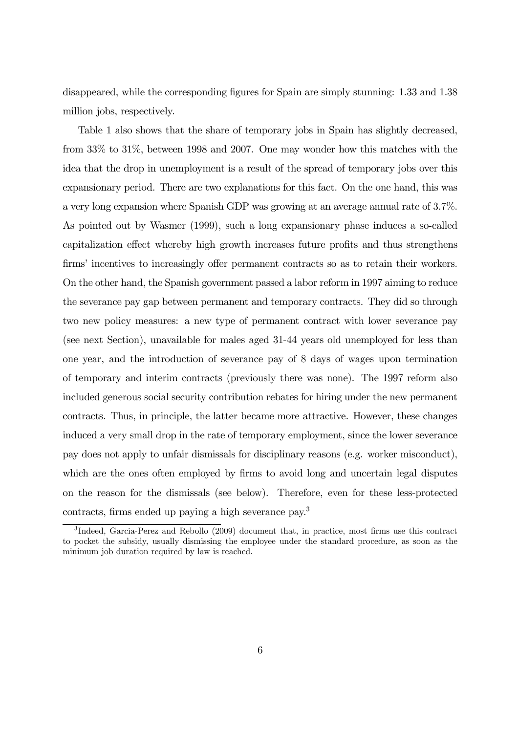disappeared, while the corresponding figures for Spain are simply stunning: 1.33 and 1.38 million jobs, respectively.

Table 1 also shows that the share of temporary jobs in Spain has slightly decreased, from 33% to 31%, between 1998 and 2007. One may wonder how this matches with the idea that the drop in unemployment is a result of the spread of temporary jobs over this expansionary period. There are two explanations for this fact. On the one hand, this was a very long expansion where Spanish GDP was growing at an average annual rate of 3.7%. As pointed out by Wasmer (1999), such a long expansionary phase induces a so-called capitalization effect whereby high growth increases future profits and thus strengthens firms' incentives to increasingly offer permanent contracts so as to retain their workers. On the other hand, the Spanish government passed a labor reform in 1997 aiming to reduce the severance pay gap between permanent and temporary contracts. They did so through two new policy measures: a new type of permanent contract with lower severance pay (see next Section), unavailable for males aged 31-44 years old unemployed for less than one year, and the introduction of severance pay of 8 days of wages upon termination of temporary and interim contracts (previously there was none). The 1997 reform also included generous social security contribution rebates for hiring under the new permanent contracts. Thus, in principle, the latter became more attractive. However, these changes induced a very small drop in the rate of temporary employment, since the lower severance pay does not apply to unfair dismissals for disciplinary reasons (e.g. worker misconduct), which are the ones often employed by firms to avoid long and uncertain legal disputes on the reason for the dismissals (see below). Therefore, even for these less-protected contracts, firms ended up paying a high severance pay.3

<sup>3</sup> Indeed, Garcia-Perez and Rebollo (2009) document that, in practice, most firms use this contract to pocket the subsidy, usually dismissing the employee under the standard procedure, as soon as the minimum job duration required by law is reached.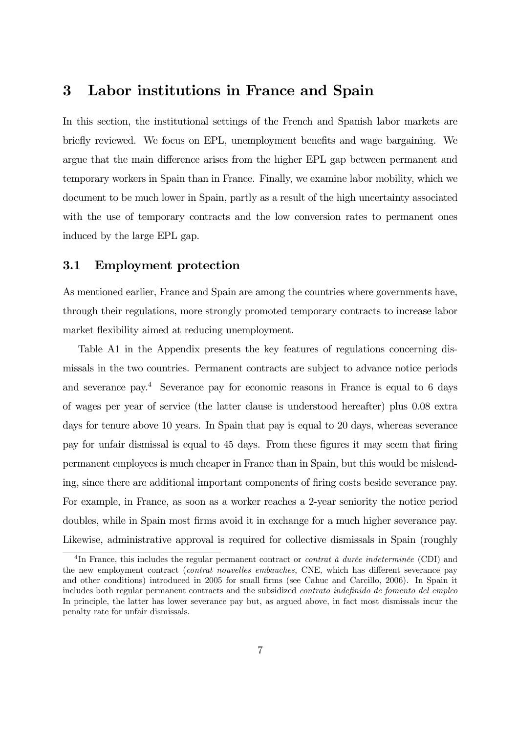## 3 Labor institutions in France and Spain

In this section, the institutional settings of the French and Spanish labor markets are briefly reviewed. We focus on EPL, unemployment benefits and wage bargaining. We argue that the main difference arises from the higher EPL gap between permanent and temporary workers in Spain than in France. Finally, we examine labor mobility, which we document to be much lower in Spain, partly as a result of the high uncertainty associated with the use of temporary contracts and the low conversion rates to permanent ones induced by the large EPL gap.

#### 3.1 Employment protection

As mentioned earlier, France and Spain are among the countries where governments have, through their regulations, more strongly promoted temporary contracts to increase labor market flexibility aimed at reducing unemployment.

Table A1 in the Appendix presents the key features of regulations concerning dismissals in the two countries. Permanent contracts are subject to advance notice periods and severance pay.4 Severance pay for economic reasons in France is equal to 6 days of wages per year of service (the latter clause is understood hereafter) plus 0.08 extra days for tenure above 10 years. In Spain that pay is equal to 20 days, whereas severance pay for unfair dismissal is equal to 45 days. From these figures it may seem that firing permanent employees is much cheaper in France than in Spain, but this would be misleading, since there are additional important components of firing costs beside severance pay. For example, in France, as soon as a worker reaches a 2-year seniority the notice period doubles, while in Spain most firms avoid it in exchange for a much higher severance pay. Likewise, administrative approval is required for collective dismissals in Spain (roughly

<sup>&</sup>lt;sup>4</sup>In France, this includes the regular permanent contract or *contrat à durée indeterminée* (CDI) and the new employment contract (contrat nouvelles embauches, CNE, which has different severance pay and other conditions) introduced in 2005 for small firms (see Cahuc and Carcillo, 2006). In Spain it includes both regular permanent contracts and the subsidized contrato indefinido de fomento del empleo In principle, the latter has lower severance pay but, as argued above, in fact most dismissals incur the penalty rate for unfair dismissals.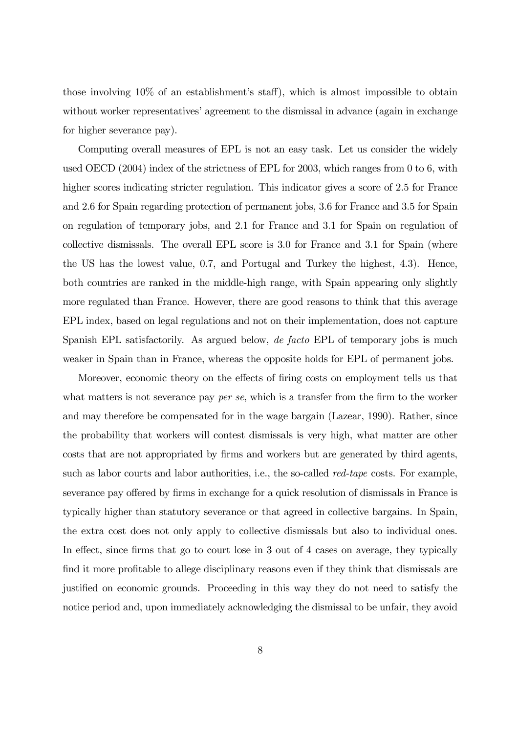those involving 10% of an establishment's staff), which is almost impossible to obtain without worker representatives' agreement to the dismissal in advance (again in exchange for higher severance pay).

Computing overall measures of EPL is not an easy task. Let us consider the widely used OECD (2004) index of the strictness of EPL for 2003, which ranges from 0 to 6, with higher scores indicating stricter regulation. This indicator gives a score of 2.5 for France and 2.6 for Spain regarding protection of permanent jobs, 3.6 for France and 3.5 for Spain on regulation of temporary jobs, and 2.1 for France and 3.1 for Spain on regulation of collective dismissals. The overall EPL score is 3.0 for France and 3.1 for Spain (where the US has the lowest value, 0.7, and Portugal and Turkey the highest, 4.3). Hence, both countries are ranked in the middle-high range, with Spain appearing only slightly more regulated than France. However, there are good reasons to think that this average EPL index, based on legal regulations and not on their implementation, does not capture Spanish EPL satisfactorily. As argued below, de facto EPL of temporary jobs is much weaker in Spain than in France, whereas the opposite holds for EPL of permanent jobs.

Moreover, economic theory on the effects of firing costs on employment tells us that what matters is not severance pay *per se*, which is a transfer from the firm to the worker and may therefore be compensated for in the wage bargain (Lazear, 1990). Rather, since the probability that workers will contest dismissals is very high, what matter are other costs that are not appropriated by firms and workers but are generated by third agents, such as labor courts and labor authorities, i.e., the so-called *red-tape* costs. For example, severance pay offered by firms in exchange for a quick resolution of dismissals in France is typically higher than statutory severance or that agreed in collective bargains. In Spain, the extra cost does not only apply to collective dismissals but also to individual ones. In effect, since firms that go to court lose in 3 out of 4 cases on average, they typically find it more profitable to allege disciplinary reasons even if they think that dismissals are justified on economic grounds. Proceeding in this way they do not need to satisfy the notice period and, upon immediately acknowledging the dismissal to be unfair, they avoid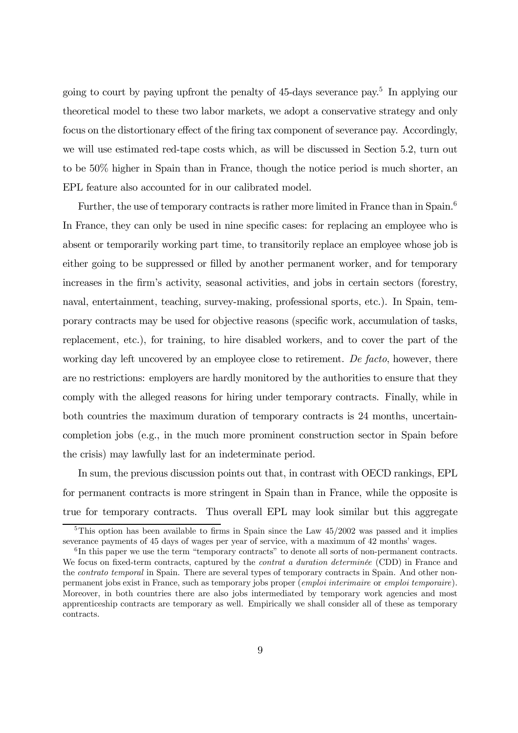going to court by paying upfront the penalty of 45-days severance pay.5 In applying our theoretical model to these two labor markets, we adopt a conservative strategy and only focus on the distortionary effect of the firing tax component of severance pay. Accordingly, we will use estimated red-tape costs which, as will be discussed in Section 5.2, turn out to be 50% higher in Spain than in France, though the notice period is much shorter, an EPL feature also accounted for in our calibrated model.

Further, the use of temporary contracts is rather more limited in France than in Spain.<sup>6</sup> In France, they can only be used in nine specific cases: for replacing an employee who is absent or temporarily working part time, to transitorily replace an employee whose job is either going to be suppressed or filled by another permanent worker, and for temporary increases in the firm's activity, seasonal activities, and jobs in certain sectors (forestry, naval, entertainment, teaching, survey-making, professional sports, etc.). In Spain, temporary contracts may be used for objective reasons (specific work, accumulation of tasks, replacement, etc.), for training, to hire disabled workers, and to cover the part of the working day left uncovered by an employee close to retirement. De facto, however, there are no restrictions: employers are hardly monitored by the authorities to ensure that they comply with the alleged reasons for hiring under temporary contracts. Finally, while in both countries the maximum duration of temporary contracts is 24 months, uncertaincompletion jobs (e.g., in the much more prominent construction sector in Spain before the crisis) may lawfully last for an indeterminate period.

In sum, the previous discussion points out that, in contrast with OECD rankings, EPL for permanent contracts is more stringent in Spain than in France, while the opposite is true for temporary contracts. Thus overall EPL may look similar but this aggregate

<sup>&</sup>lt;sup>5</sup>This option has been available to firms in Spain since the Law  $45/2002$  was passed and it implies severance payments of 45 days of wages per year of service, with a maximum of 42 months' wages.

 $6$ In this paper we use the term "temporary contracts" to denote all sorts of non-permanent contracts. We focus on fixed-term contracts, captured by the *contrat a duration determinée* (CDD) in France and the *contrato temporal* in Spain. There are several types of temporary contracts in Spain. And other nonpermanent jobs exist in France, such as temporary jobs proper (emploi interimaire or emploi temporaire). Moreover, in both countries there are also jobs intermediated by temporary work agencies and most apprenticeship contracts are temporary as well. Empirically we shall consider all of these as temporary contracts.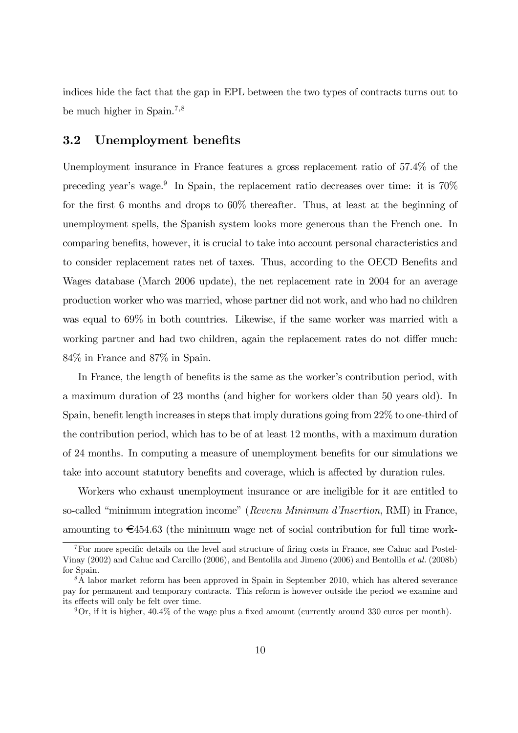indices hide the fact that the gap in EPL between the two types of contracts turns out to be much higher in Spain.7,<sup>8</sup>

#### 3.2 Unemployment benefits

Unemployment insurance in France features a gross replacement ratio of 57.4% of the preceding year's wage.<sup>9</sup> In Spain, the replacement ratio decreases over time: it is  $70\%$ for the first 6 months and drops to 60% thereafter. Thus, at least at the beginning of unemployment spells, the Spanish system looks more generous than the French one. In comparing benefits, however, it is crucial to take into account personal characteristics and to consider replacement rates net of taxes. Thus, according to the OECD Benefits and Wages database (March 2006 update), the net replacement rate in 2004 for an average production worker who was married, whose partner did not work, and who had no children was equal to 69% in both countries. Likewise, if the same worker was married with a working partner and had two children, again the replacement rates do not differ much: 84% in France and 87% in Spain.

In France, the length of benefits is the same as the worker's contribution period, with a maximum duration of 23 months (and higher for workers older than 50 years old). In Spain, benefit length increases in steps that imply durations going from 22% to one-third of the contribution period, which has to be of at least 12 months, with a maximum duration of 24 months. In computing a measure of unemployment benefits for our simulations we take into account statutory benefits and coverage, which is affected by duration rules.

Workers who exhaust unemployment insurance or are ineligible for it are entitled to so-called "minimum integration income" (Revenu Minimum d'Insertion, RMI) in France, amounting to  $\epsilon$ 454.63 (the minimum wage net of social contribution for full time work-

<sup>7</sup>For more specific details on the level and structure of firing costs in France, see Cahuc and Postel-Vinay (2002) and Cahuc and Carcillo (2006), and Bentolila and Jimeno (2006) and Bentolila et al. (2008b) for Spain.

<sup>&</sup>lt;sup>8</sup>A labor market reform has been approved in Spain in September 2010, which has altered severance pay for permanent and temporary contracts. This reform is however outside the period we examine and its effects will only be felt over time.

 $9$ Or, if it is higher, 40.4% of the wage plus a fixed amount (currently around 330 euros per month).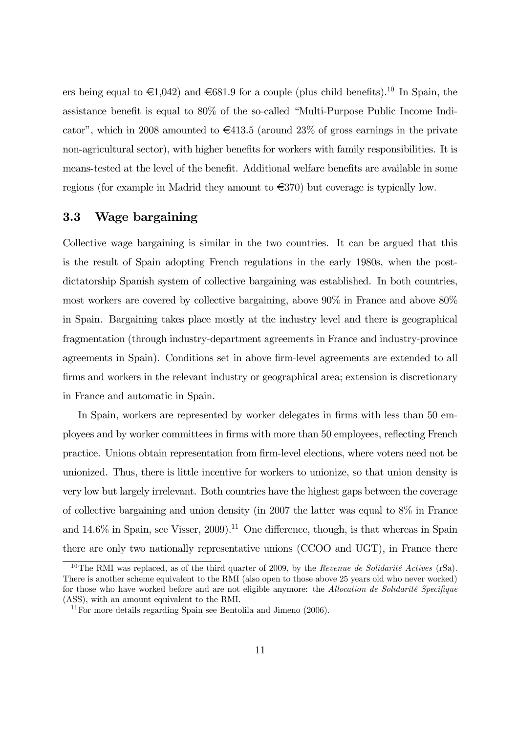ers being equal to  $\in 1.042$ ) and  $\in 681.9$  for a couple (plus child benefits).<sup>10</sup> In Spain, the assistance benefit is equal to 80% of the so-called "Multi-Purpose Public Income Indicator", which in 2008 amounted to  $\epsilon$ 413.5 (around 23% of gross earnings in the private non-agricultural sector), with higher benefits for workers with family responsibilities. It is means-tested at the level of the benefit. Additional welfare benefits are available in some regions (for example in Madrid they amount to  $\epsilon$ 370) but coverage is typically low.

#### 3.3 Wage bargaining

Collective wage bargaining is similar in the two countries. It can be argued that this is the result of Spain adopting French regulations in the early 1980s, when the postdictatorship Spanish system of collective bargaining was established. In both countries, most workers are covered by collective bargaining, above 90% in France and above 80% in Spain. Bargaining takes place mostly at the industry level and there is geographical fragmentation (through industry-department agreements in France and industry-province agreements in Spain). Conditions set in above firm-level agreements are extended to all firms and workers in the relevant industry or geographical area; extension is discretionary in France and automatic in Spain.

In Spain, workers are represented by worker delegates in firms with less than 50 employees and by worker committees in firms with more than 50 employees, reflecting French practice. Unions obtain representation from firm-level elections, where voters need not be unionized. Thus, there is little incentive for workers to unionize, so that union density is very low but largely irrelevant. Both countries have the highest gaps between the coverage of collective bargaining and union density (in 2007 the latter was equal to 8% in France and  $14.6\%$  in Spain, see Visser, 2009).<sup>11</sup> One difference, though, is that whereas in Spain there are only two nationally representative unions (CCOO and UGT), in France there

<sup>&</sup>lt;sup>10</sup>The RMI was replaced, as of the third quarter of 2009, by the *Revenue de Solidarité Actives* (rSa). There is another scheme equivalent to the RMI (also open to those above 25 years old who never worked) for those who have worked before and are not eligible anymore: the Allocation de Solidarité Specifique (ASS), with an amount equivalent to the RMI.

 $11$  For more details regarding Spain see Bentolila and Jimeno (2006).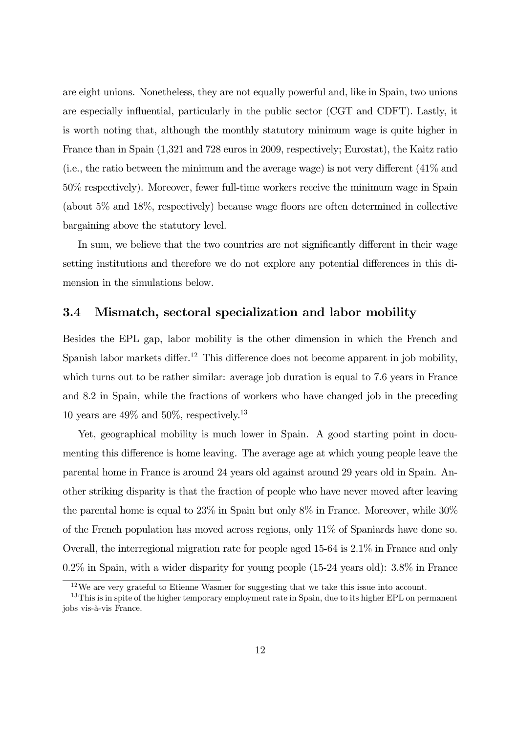are eight unions. Nonetheless, they are not equally powerful and, like in Spain, two unions are especially influential, particularly in the public sector (CGT and CDFT). Lastly, it is worth noting that, although the monthly statutory minimum wage is quite higher in France than in Spain (1,321 and 728 euros in 2009, respectively; Eurostat), the Kaitz ratio (i.e., the ratio between the minimum and the average wage) is not very different (41% and 50% respectively). Moreover, fewer full-time workers receive the minimum wage in Spain (about 5% and 18%, respectively) because wage floors are often determined in collective bargaining above the statutory level.

In sum, we believe that the two countries are not significantly different in their wage setting institutions and therefore we do not explore any potential differences in this dimension in the simulations below.

#### 3.4 Mismatch, sectoral specialization and labor mobility

Besides the EPL gap, labor mobility is the other dimension in which the French and Spanish labor markets differ.12 This difference does not become apparent in job mobility, which turns out to be rather similar: average job duration is equal to 7.6 years in France and 8.2 in Spain, while the fractions of workers who have changed job in the preceding 10 years are  $49\%$  and  $50\%$ , respectively.<sup>13</sup>

Yet, geographical mobility is much lower in Spain. A good starting point in documenting this difference is home leaving. The average age at which young people leave the parental home in France is around 24 years old against around 29 years old in Spain. Another striking disparity is that the fraction of people who have never moved after leaving the parental home is equal to 23% in Spain but only 8% in France. Moreover, while 30% of the French population has moved across regions, only 11% of Spaniards have done so. Overall, the interregional migration rate for people aged 15-64 is 2.1% in France and only 0.2% in Spain, with a wider disparity for young people (15-24 years old): 3.8% in France

 $12\,\text{We}$  are very grateful to Etienne Wasmer for suggesting that we take this issue into account.

<sup>&</sup>lt;sup>13</sup>This is in spite of the higher temporary employment rate in Spain, due to its higher EPL on permanent jobs vis-à-vis France.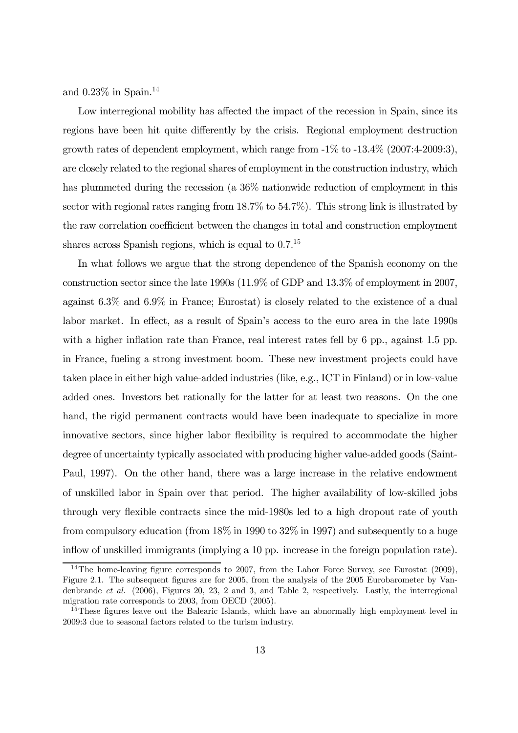and  $0.23\%$  in Spain.<sup>14</sup>

Low interregional mobility has affected the impact of the recession in Spain, since its regions have been hit quite differently by the crisis. Regional employment destruction growth rates of dependent employment, which range from -1% to -13.4% (2007:4-2009:3), are closely related to the regional shares of employment in the construction industry, which has plummeted during the recession (a  $36\%$  nationwide reduction of employment in this sector with regional rates ranging from 18.7% to 54.7%). This strong link is illustrated by the raw correlation coefficient between the changes in total and construction employment shares across Spanish regions, which is equal to  $0.7<sup>15</sup>$ 

In what follows we argue that the strong dependence of the Spanish economy on the construction sector since the late 1990s (11.9% of GDP and 13.3% of employment in 2007, against 6.3% and 6.9% in France; Eurostat) is closely related to the existence of a dual labor market. In effect, as a result of Spain's access to the euro area in the late 1990s with a higher inflation rate than France, real interest rates fell by 6 pp., against 1.5 pp. in France, fueling a strong investment boom. These new investment projects could have taken place in either high value-added industries (like, e.g., ICT in Finland) or in low-value added ones. Investors bet rationally for the latter for at least two reasons. On the one hand, the rigid permanent contracts would have been inadequate to specialize in more innovative sectors, since higher labor flexibility is required to accommodate the higher degree of uncertainty typically associated with producing higher value-added goods (Saint-Paul, 1997). On the other hand, there was a large increase in the relative endowment of unskilled labor in Spain over that period. The higher availability of low-skilled jobs through very flexible contracts since the mid-1980s led to a high dropout rate of youth from compulsory education (from 18% in 1990 to 32% in 1997) and subsequently to a huge inflow of unskilled immigrants (implying a 10 pp. increase in the foreign population rate).

<sup>&</sup>lt;sup>14</sup>The home-leaving figure corresponds to 2007, from the Labor Force Survey, see Eurostat (2009), Figure 2.1. The subsequent figures are for 2005, from the analysis of the 2005 Eurobarometer by Vandenbrande et al. (2006), Figures 20, 23, 2 and 3, and Table 2, respectively. Lastly, the interregional migration rate corresponds to 2003, from OECD (2005).

<sup>&</sup>lt;sup>15</sup>These figures leave out the Balearic Islands, which have an abnormally high employment level in 2009:3 due to seasonal factors related to the turism industry.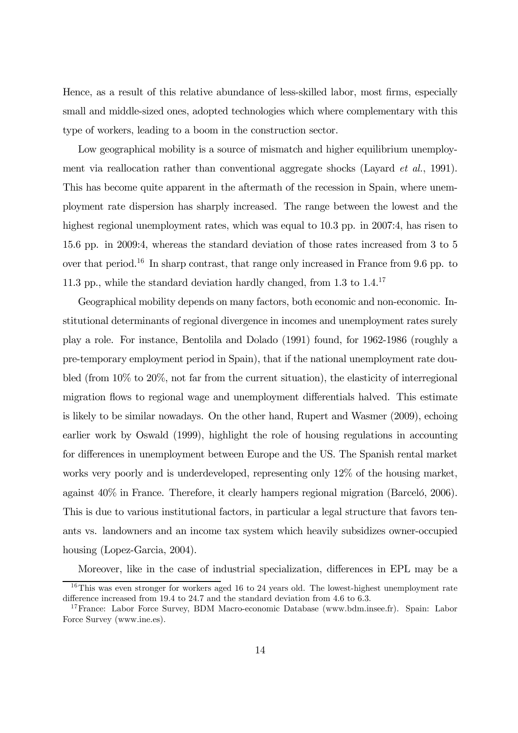Hence, as a result of this relative abundance of less-skilled labor, most firms, especially small and middle-sized ones, adopted technologies which where complementary with this type of workers, leading to a boom in the construction sector.

Low geographical mobility is a source of mismatch and higher equilibrium unemployment via reallocation rather than conventional aggregate shocks (Layard *et al.*, 1991). This has become quite apparent in the aftermath of the recession in Spain, where unemployment rate dispersion has sharply increased. The range between the lowest and the highest regional unemployment rates, which was equal to 10.3 pp. in 2007:4, has risen to 15.6 pp. in 2009:4, whereas the standard deviation of those rates increased from 3 to 5 over that period.16 In sharp contrast, that range only increased in France from 9.6 pp. to 11.3 pp., while the standard deviation hardly changed, from  $1.3$  to  $1.4$ <sup>17</sup>

Geographical mobility depends on many factors, both economic and non-economic. Institutional determinants of regional divergence in incomes and unemployment rates surely play a role. For instance, Bentolila and Dolado (1991) found, for 1962-1986 (roughly a pre-temporary employment period in Spain), that if the national unemployment rate doubled (from 10% to 20%, not far from the current situation), the elasticity of interregional migration flows to regional wage and unemployment differentials halved. This estimate is likely to be similar nowadays. On the other hand, Rupert and Wasmer (2009), echoing earlier work by Oswald (1999), highlight the role of housing regulations in accounting for differences in unemployment between Europe and the US. The Spanish rental market works very poorly and is underdeveloped, representing only 12% of the housing market, against 40% in France. Therefore, it clearly hampers regional migration (Barceló, 2006). This is due to various institutional factors, in particular a legal structure that favors tenants vs. landowners and an income tax system which heavily subsidizes owner-occupied housing (Lopez-Garcia, 2004).

Moreover, like in the case of industrial specialization, differences in EPL may be a

 $16$ This was even stronger for workers aged 16 to 24 years old. The lowest-highest unemployment rate difference increased from 19.4 to 24.7 and the standard deviation from 4.6 to 6.3.

<sup>&</sup>lt;sup>17</sup>France: Labor Force Survey, BDM Macro-economic Database (www.bdm.insee.fr). Spain: Labor Force Survey (www.ine.es).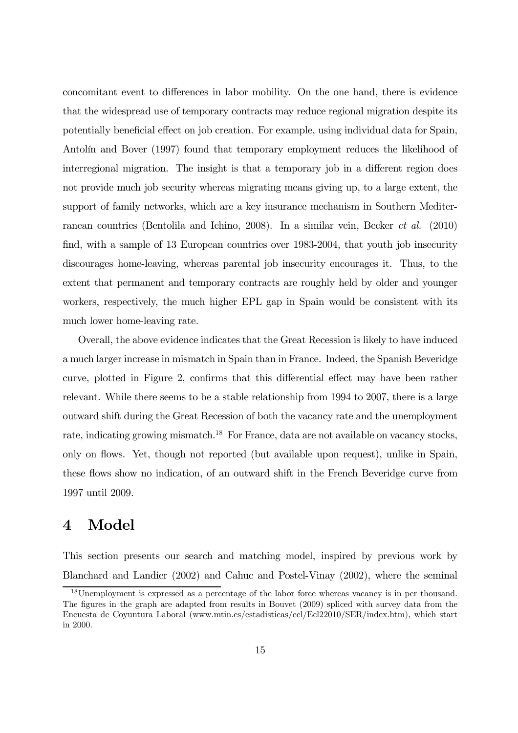concomitant event to differences in labor mobility. On the one hand, there is evidence that the widespread use of temporary contracts may reduce regional migration despite its potentially beneficial effect on job creation. For example, using individual data for Spain, Antolín and Bover (1997) found that temporary employment reduces the likelihood of interregional migration. The insight is that a temporary job in a different region does not provide much job security whereas migrating means giving up, to a large extent, the support of family networks, which are a key insurance mechanism in Southern Mediterranean countries (Bentolila and Ichino, 2008). In a similar vein, Becker et al. (2010) find, with a sample of 13 European countries over 1983-2004, that youth job insecurity discourages home-leaving, whereas parental job insecurity encourages it. Thus, to the extent that permanent and temporary contracts are roughly held by older and younger workers, respectively, the much higher EPL gap in Spain would be consistent with its much lower home-leaving rate.

Overall, the above evidence indicates that the Great Recession is likely to have induced a much larger increase in mismatch in Spain than in France. Indeed, the Spanish Beveridge curve, plotted in Figure 2, confirms that this differential effect may have been rather relevant. While there seems to be a stable relationship from 1994 to 2007, there is a large outward shift during the Great Recession of both the vacancy rate and the unemployment rate, indicating growing mismatch.<sup>18</sup> For France, data are not available on vacancy stocks, only on flows. Yet, though not reported (but available upon request), unlike in Spain, these flows show no indication, of an outward shift in the French Beveridge curve from 1997 until 2009.

## 4 Model

This section presents our search and matching model, inspired by previous work by Blanchard and Landier (2002) and Cahuc and Postel-Vinay (2002), where the seminal

<sup>&</sup>lt;sup>18</sup>Unemployment is expressed as a percentage of the labor force whereas vacancy is in per thousand. The figures in the graph are adapted from results in Bouvet (2009) spliced with survey data from the Encuesta de Coyuntura Laboral (www.mtin.es/estadisticas/ecl/Ecl22010/SER/index.htm), which start in 2000.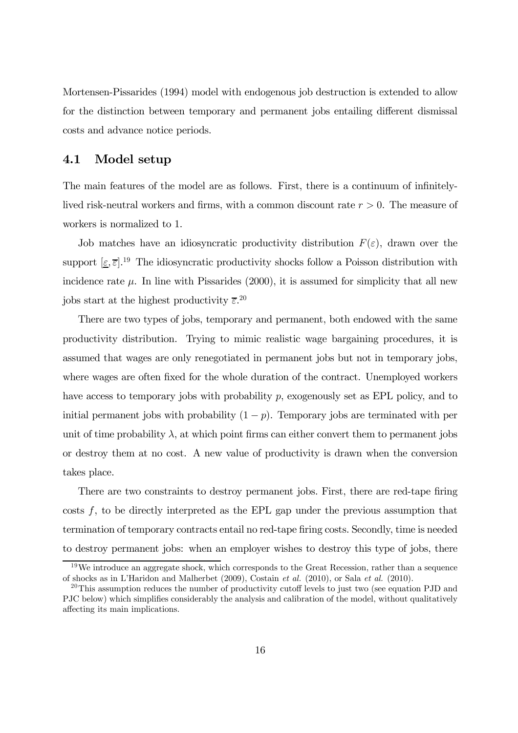Mortensen-Pissarides (1994) model with endogenous job destruction is extended to allow for the distinction between temporary and permanent jobs entailing different dismissal costs and advance notice periods.

#### 4.1 Model setup

The main features of the model are as follows. First, there is a continuum of infinitelylived risk-neutral workers and firms, with a common discount rate  $r > 0$ . The measure of workers is normalized to 1.

Job matches have an idiosyncratic productivity distribution  $F(\varepsilon)$ , drawn over the support  $[\underline{\varepsilon}, \overline{\varepsilon}]$ .<sup>19</sup> The idiosyncratic productivity shocks follow a Poisson distribution with incidence rate  $\mu$ . In line with Pissarides (2000), it is assumed for simplicity that all new jobs start at the highest productivity  $\bar{\varepsilon}$ <sup>20</sup>

There are two types of jobs, temporary and permanent, both endowed with the same productivity distribution. Trying to mimic realistic wage bargaining procedures, it is assumed that wages are only renegotiated in permanent jobs but not in temporary jobs, where wages are often fixed for the whole duration of the contract. Unemployed workers have access to temporary jobs with probability p, exogenously set as EPL policy, and to initial permanent jobs with probability  $(1 - p)$ . Temporary jobs are terminated with per unit of time probability  $\lambda$ , at which point firms can either convert them to permanent jobs or destroy them at no cost. A new value of productivity is drawn when the conversion takes place.

There are two constraints to destroy permanent jobs. First, there are red-tape firing costs  $f$ , to be directly interpreted as the EPL gap under the previous assumption that termination of temporary contracts entail no red-tape firing costs. Secondly, time is needed to destroy permanent jobs: when an employer wishes to destroy this type of jobs, there

 $19W$ e introduce an aggregate shock, which corresponds to the Great Recession, rather than a sequence of shocks as in L'Haridon and Malherbet (2009), Costain et al. (2010), or Sala et al. (2010).

 $^{20}$ This assumption reduces the number of productivity cutoff levels to just two (see equation PJD and PJC below) which simplifies considerably the analysis and calibration of the model, without qualitatively affecting its main implications.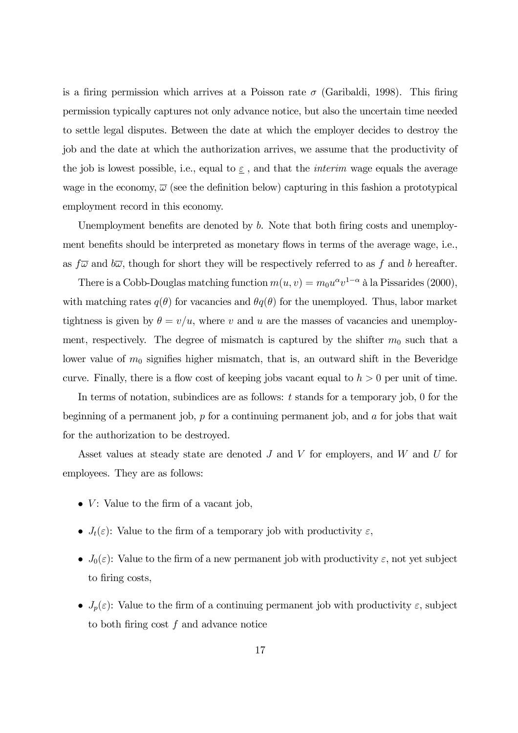is a firing permission which arrives at a Poisson rate  $\sigma$  (Garibaldi, 1998). This firing permission typically captures not only advance notice, but also the uncertain time needed to settle legal disputes. Between the date at which the employer decides to destroy the job and the date at which the authorization arrives, we assume that the productivity of the job is lowest possible, i.e., equal to  $\underline{\varepsilon}$ , and that the *interim* wage equals the average wage in the economy,  $\overline{\omega}$  (see the definition below) capturing in this fashion a prototypical employment record in this economy.

Unemployment benefits are denoted by b. Note that both firing costs and unemployment benefits should be interpreted as monetary flows in terms of the average wage, i.e., as  $f\overline{\omega}$  and  $b\overline{\omega}$ , though for short they will be respectively referred to as f and b hereafter.

There is a Cobb-Douglas matching function  $m(u, v) = m_0 u^{\alpha} v^{1-\alpha}$  à la Pissarides (2000), with matching rates  $q(\theta)$  for vacancies and  $\theta q(\theta)$  for the unemployed. Thus, labor market tightness is given by  $\theta = v/u$ , where v and u are the masses of vacancies and unemployment, respectively. The degree of mismatch is captured by the shifter  $m_0$  such that a lower value of  $m_0$  signifies higher mismatch, that is, an outward shift in the Beveridge curve. Finally, there is a flow cost of keeping jobs vacant equal to  $h > 0$  per unit of time.

In terms of notation, subindices are as follows:  $t$  stands for a temporary job, 0 for the beginning of a permanent job, p for a continuing permanent job, and a for jobs that wait for the authorization to be destroyed.

Asset values at steady state are denoted J and V for employers, and W and U for employees. They are as follows:

- $V$ : Value to the firm of a vacant job.
- $J_t(\varepsilon)$ : Value to the firm of a temporary job with productivity  $\varepsilon$ ,
- $J_0(\varepsilon)$ : Value to the firm of a new permanent job with productivity  $\varepsilon$ , not yet subject to firing costs,
- $J_p(\varepsilon)$ : Value to the firm of a continuing permanent job with productivity  $\varepsilon$ , subject to both firing cost f and advance notice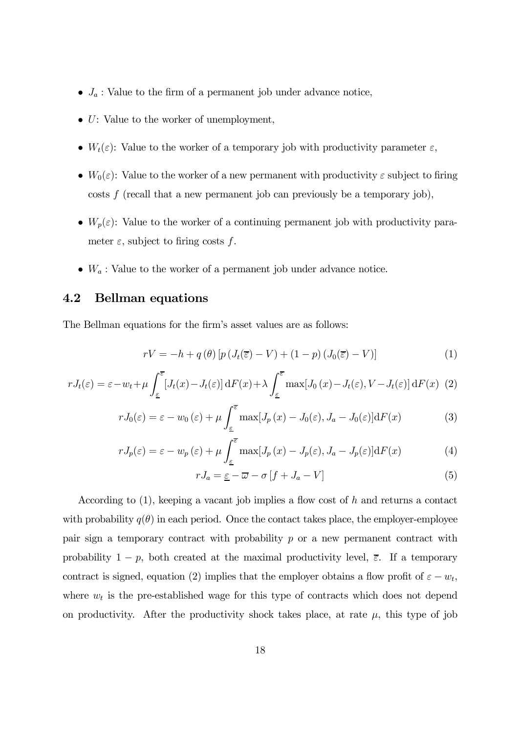- $J_a$ : Value to the firm of a permanent job under advance notice,
- $\bullet$  U: Value to the worker of unemployment,
- $W_t(\varepsilon)$ : Value to the worker of a temporary job with productivity parameter  $\varepsilon$ ,
- $W_0(\varepsilon)$ : Value to the worker of a new permanent with productivity  $\varepsilon$  subject to firing  $\cos t$  (recall that a new permanent job can previously be a temporary job),
- $W_p(\varepsilon)$ : Value to the worker of a continuing permanent job with productivity parameter  $\varepsilon$ , subject to firing costs f.
- $W_a$ : Value to the worker of a permanent job under advance notice.

#### 4.2 Bellman equations

The Bellman equations for the firm's asset values are as follows:

$$
rV = -h + q(\theta) \left[ p\left(J_t(\overline{\varepsilon}) - V\right) + (1 - p)\left(J_0(\overline{\varepsilon}) - V\right) \right]
$$
 (1)

$$
rJ_t(\varepsilon) = \varepsilon - w_t + \mu \int_{\varepsilon}^{\overline{\varepsilon}} \left[ J_t(x) - J_t(\varepsilon) \right] dF(x) + \lambda \int_{\varepsilon}^{\overline{\varepsilon}} \max\left[ J_0(x) - J_t(\varepsilon), V - J_t(\varepsilon) \right] dF(x) \tag{2}
$$

$$
rJ_0(\varepsilon) = \varepsilon - w_0(\varepsilon) + \mu \int_{\varepsilon}^{\overline{\varepsilon}} \max[J_p(x) - J_0(\varepsilon), J_a - J_0(\varepsilon)] \mathrm{d}F(x) \tag{3}
$$

$$
rJ_p(\varepsilon) = \varepsilon - w_p(\varepsilon) + \mu \int_{\varepsilon}^{\overline{\varepsilon}} \max[J_p(x) - J_p(\varepsilon), J_a - J_p(\varepsilon)] \mathrm{d}F(x) \tag{4}
$$

$$
rJ_a = \underline{\varepsilon} - \overline{\omega} - \sigma \left[ f + J_a - V \right] \tag{5}
$$

According to  $(1)$ , keeping a vacant job implies a flow cost of h and returns a contact with probability  $q(\theta)$  in each period. Once the contact takes place, the employer-employee pair sign a temporary contract with probability  $p$  or a new permanent contract with probability  $1 - p$ , both created at the maximal productivity level,  $\overline{\epsilon}$ . If a temporary contract is signed, equation (2) implies that the employer obtains a flow profit of  $\varepsilon - w_t$ , where  $w_t$  is the pre-established wage for this type of contracts which does not depend on productivity. After the productivity shock takes place, at rate  $\mu$ , this type of job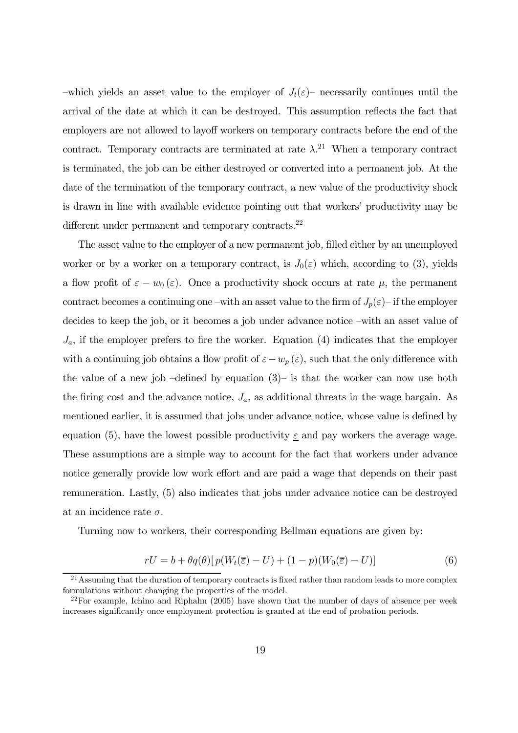–which yields an asset value to the employer of  $J_t(\varepsilon)$ – necessarily continues until the arrival of the date at which it can be destroyed. This assumption reflects the fact that employers are not allowed to layoff workers on temporary contracts before the end of the contract. Temporary contracts are terminated at rate  $\lambda$ <sup>21</sup> When a temporary contract is terminated, the job can be either destroyed or converted into a permanent job. At the date of the termination of the temporary contract, a new value of the productivity shock is drawn in line with available evidence pointing out that workers' productivity may be different under permanent and temporary contracts.<sup>22</sup>

The asset value to the employer of a new permanent job, filled either by an unemployed worker or by a worker on a temporary contract, is  $J_0(\varepsilon)$  which, according to (3), yields a flow profit of  $\varepsilon - w_0(\varepsilon)$ . Once a productivity shock occurs at rate  $\mu$ , the permanent contract becomes a continuing one –with an asset value to the firm of  $J_p(\varepsilon)$ – if the employer decides to keep the job, or it becomes a job under advance notice —with an asset value of  $J_a$ , if the employer prefers to fire the worker. Equation (4) indicates that the employer with a continuing job obtains a flow profit of  $\varepsilon - w_p(\varepsilon)$ , such that the only difference with the value of a new job  $-\text{defined}$  by equation  $(3)$ – is that the worker can now use both the firing cost and the advance notice,  $J_a$ , as additional threats in the wage bargain. As mentioned earlier, it is assumed that jobs under advance notice, whose value is defined by equation (5), have the lowest possible productivity  $\varepsilon$  and pay workers the average wage. These assumptions are a simple way to account for the fact that workers under advance notice generally provide low work effort and are paid a wage that depends on their past remuneration. Lastly, (5) also indicates that jobs under advance notice can be destroyed at an incidence rate  $\sigma$ .

Turning now to workers, their corresponding Bellman equations are given by:

$$
rU = b + \theta q(\theta) [p(W_t(\overline{z}) - U) + (1 - p)(W_0(\overline{z}) - U)] \tag{6}
$$

 $21$  Assuming that the duration of temporary contracts is fixed rather than random leads to more complex formulations without changing the properties of the model.

 $^{22}$ For example, Ichino and Riphahn (2005) have shown that the number of days of absence per week increases significantly once employment protection is granted at the end of probation periods.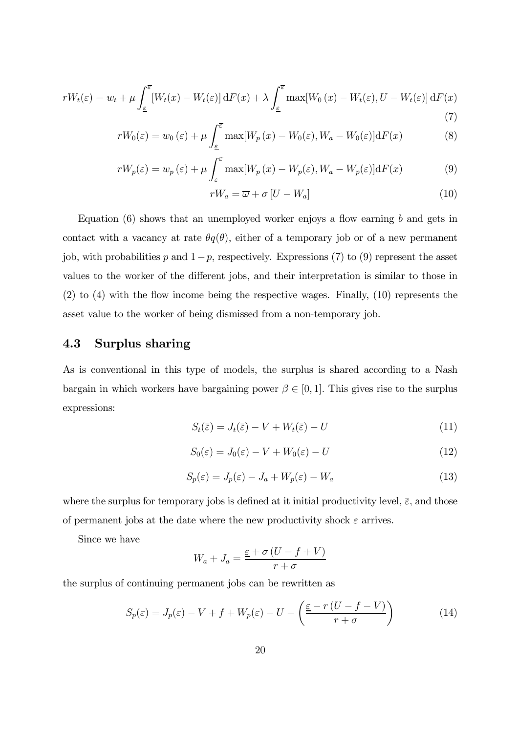$$
rW_t(\varepsilon) = w_t + \mu \int_{\varepsilon}^{\overline{\varepsilon}} \left[ W_t(x) - W_t(\varepsilon) \right] dF(x) + \lambda \int_{\varepsilon}^{\overline{\varepsilon}} \max[W_0(x) - W_t(\varepsilon), U - W_t(\varepsilon)] dF(x) \tag{7}
$$

$$
rW_0(\varepsilon) = w_0(\varepsilon) + \mu \int_{\varepsilon}^{\overline{\varepsilon}} \max[W_p(x) - W_0(\varepsilon), W_a - W_0(\varepsilon)] \mathrm{d}F(x) \tag{8}
$$

$$
rW_p(\varepsilon) = w_p(\varepsilon) + \mu \int_{\underline{\varepsilon}}^{\overline{\varepsilon}} \max[W_p(x) - W_p(\varepsilon), W_a - W_p(\varepsilon)] \mathrm{d}F(x) \tag{9}
$$

$$
rW_a = \overline{\omega} + \sigma \left[ U - W_a \right] \tag{10}
$$

Equation  $(6)$  shows that an unemployed worker enjoys a flow earning b and gets in contact with a vacancy at rate  $\theta q(\theta)$ , either of a temporary job or of a new permanent job, with probabilities p and  $1-p$ , respectively. Expressions (7) to (9) represent the asset values to the worker of the different jobs, and their interpretation is similar to those in (2) to (4) with the flow income being the respective wages. Finally, (10) represents the asset value to the worker of being dismissed from a non-temporary job.

## 4.3 Surplus sharing

As is conventional in this type of models, the surplus is shared according to a Nash bargain in which workers have bargaining power  $\beta \in [0, 1]$ . This gives rise to the surplus expressions:

$$
S_t(\bar{\varepsilon}) = J_t(\bar{\varepsilon}) - V + W_t(\bar{\varepsilon}) - U \tag{11}
$$

$$
S_0(\varepsilon) = J_0(\varepsilon) - V + W_0(\varepsilon) - U \tag{12}
$$

$$
S_p(\varepsilon) = J_p(\varepsilon) - J_a + W_p(\varepsilon) - W_a \tag{13}
$$

where the surplus for temporary jobs is defined at it initial productivity level,  $\bar{\varepsilon}$ , and those of permanent jobs at the date where the new productivity shock  $\varepsilon$  arrives.

Since we have

$$
W_a + J_a = \frac{\varepsilon + \sigma (U - f + V)}{r + \sigma}
$$

the surplus of continuing permanent jobs can be rewritten as

$$
S_p(\varepsilon) = J_p(\varepsilon) - V + f + W_p(\varepsilon) - U - \left(\frac{\varepsilon - r\left(U - f - V\right)}{r + \sigma}\right) \tag{14}
$$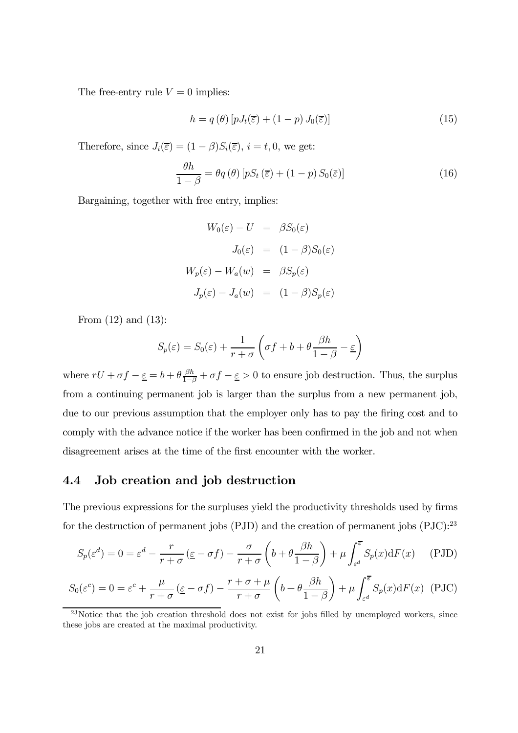The free-entry rule  $V = 0$  implies:

$$
h = q(\theta) \left[ pJ_t(\overline{\varepsilon}) + (1 - p) J_0(\overline{\varepsilon}) \right]
$$
 (15)

Therefore, since  $J_i(\overline{\varepsilon}) = (1 - \beta)S_i(\overline{\varepsilon}), i = t, 0$ , we get:

$$
\frac{\theta h}{1-\beta} = \theta q(\theta) \left[ pS_t\left(\overline{\varepsilon}\right) + (1-p) S_0(\overline{\varepsilon}) \right]
$$
\n(16)

Bargaining, together with free entry, implies:

$$
W_0(\varepsilon) - U = \beta S_0(\varepsilon)
$$
  

$$
J_0(\varepsilon) = (1 - \beta) S_0(\varepsilon)
$$
  

$$
W_p(\varepsilon) - W_a(w) = \beta S_p(\varepsilon)
$$
  

$$
J_p(\varepsilon) - J_a(w) = (1 - \beta) S_p(\varepsilon)
$$

From (12) and (13):

$$
S_p(\varepsilon) = S_0(\varepsilon) + \frac{1}{r+\sigma} \left( \sigma f + b + \theta \frac{\beta h}{1-\beta} - \varepsilon \right)
$$

where  $rU + \sigma f - \underline{\varepsilon} = b + \theta \frac{\beta h}{1-\beta} + \sigma f - \underline{\varepsilon} > 0$  to ensure job destruction. Thus, the surplus from a continuing permanent job is larger than the surplus from a new permanent job, due to our previous assumption that the employer only has to pay the firing cost and to comply with the advance notice if the worker has been confirmed in the job and not when disagreement arises at the time of the first encounter with the worker.

#### 4.4 Job creation and job destruction

The previous expressions for the surpluses yield the productivity thresholds used by firms for the destruction of permanent jobs (PJD) and the creation of permanent jobs  $(PIC)^{23}$ 

$$
S_p(\varepsilon^d) = 0 = \varepsilon^d - \frac{r}{r+\sigma} \left( \underline{\varepsilon} - \sigma f \right) - \frac{\sigma}{r+\sigma} \left( b + \theta \frac{\beta h}{1-\beta} \right) + \mu \int_{\varepsilon^d}^{\overline{\varepsilon}} S_p(x) dF(x) \tag{PJD}
$$

$$
S_0(\varepsilon^c) = 0 = \varepsilon^c + \frac{\mu}{r+\sigma} (\varepsilon - \sigma f) - \frac{r+\sigma+\mu}{r+\sigma} \left( b + \theta \frac{\beta h}{1-\beta} \right) + \mu \int_{\varepsilon^d}^{\overline{\varepsilon}} S_p(x) dF(x) \text{ (PJC)}
$$

 $\frac{23}{23}$ Notice that the job creation threshold does not exist for jobs filled by unemployed workers, since these jobs are created at the maximal productivity.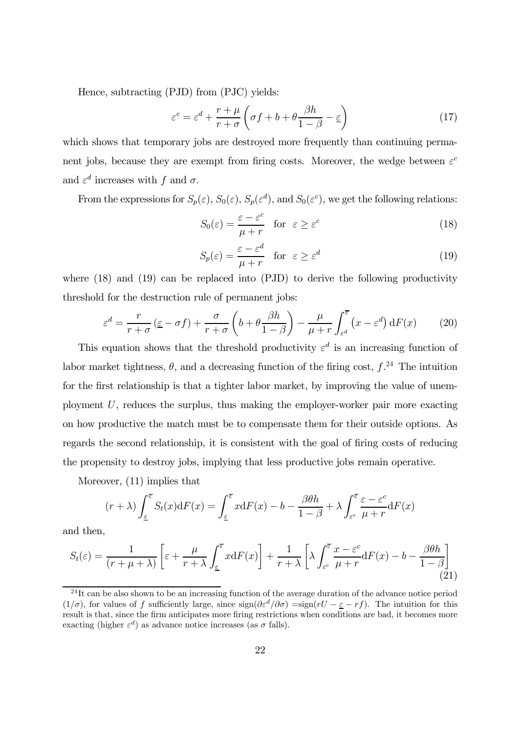Hence, subtracting (PJD) from (PJC) yields:

$$
\varepsilon^{c} = \varepsilon^{d} + \frac{r + \mu}{r + \sigma} \left( \sigma f + b + \theta \frac{\beta h}{1 - \beta} - \varepsilon \right)
$$
 (17)

which shows that temporary jobs are destroyed more frequently than continuing permanent jobs, because they are exempt from firing costs. Moreover, the wedge between  $\varepsilon^c$ and  $\varepsilon^d$  increases with f and  $\sigma$ .

From the expressions for  $S_p(\varepsilon)$ ,  $S_0(\varepsilon)$ ,  $S_p(\varepsilon^d)$ , and  $S_0(\varepsilon^c)$ , we get the following relations:

$$
S_0(\varepsilon) = \frac{\varepsilon - \varepsilon^c}{\mu + r} \quad \text{for} \quad \varepsilon \ge \varepsilon^c \tag{18}
$$

$$
S_p(\varepsilon) = \frac{\varepsilon - \varepsilon^d}{\mu + r} \quad \text{for} \quad \varepsilon \ge \varepsilon^d \tag{19}
$$

where  $(18)$  and  $(19)$  can be replaced into  $(PID)$  to derive the following productivity threshold for the destruction rule of permanent jobs:

$$
\varepsilon^{d} = \frac{r}{r+\sigma} \left( \underline{\varepsilon} - \sigma f \right) + \frac{\sigma}{r+\sigma} \left( b + \theta \frac{\beta h}{1-\beta} \right) - \frac{\mu}{\mu+r} \int_{\varepsilon^{d}}^{\overline{\varepsilon}} \left( x - \varepsilon^{d} \right) dF(x) \tag{20}
$$

This equation shows that the threshold productivity  $\varepsilon^d$  is an increasing function of labor market tightness,  $\theta$ , and a decreasing function of the firing cost,  $f^{24}$ . The intuition for the first relationship is that a tighter labor market, by improving the value of unemployment  $U$ , reduces the surplus, thus making the employer-worker pair more exacting on how productive the match must be to compensate them for their outside options. As regards the second relationship, it is consistent with the goal of firing costs of reducing the propensity to destroy jobs, implying that less productive jobs remain operative.

Moreover, (11) implies that

$$
(r + \lambda) \int_{\underline{\varepsilon}}^{\overline{\varepsilon}} S_t(x) dF(x) = \int_{\underline{\varepsilon}}^{\overline{\varepsilon}} x dF(x) - b - \frac{\beta \theta h}{1 - \beta} + \lambda \int_{\varepsilon}^{\overline{\varepsilon}} \frac{\varepsilon - \varepsilon^c}{\mu + r} dF(x)
$$

and then,

$$
S_t(\varepsilon) = \frac{1}{(r+\mu+\lambda)} \left[ \varepsilon + \frac{\mu}{r+\lambda} \int_{\varepsilon}^{\overline{\varepsilon}} x \mathrm{d}F(x) \right] + \frac{1}{r+\lambda} \left[ \lambda \int_{\varepsilon}^{\overline{\varepsilon}} \frac{x-\varepsilon^c}{\mu+r} \mathrm{d}F(x) - b - \frac{\beta \theta h}{1-\beta} \right] \tag{21}
$$

 $^{24}$ It can be also shown to be an increasing function of the average duration of the advance notice period (1/ $\sigma$ ), for values of f sufficiently large, since  $sign(\partial \epsilon^d/\partial \sigma) = sign(rU - \epsilon - rf)$ . The intuition for this result is that, since the firm anticipates more firing restrictions when conditions are bad, it becomes more exacting (higher  $\varepsilon^d$ ) as advance notice increases (as  $\sigma$  falls).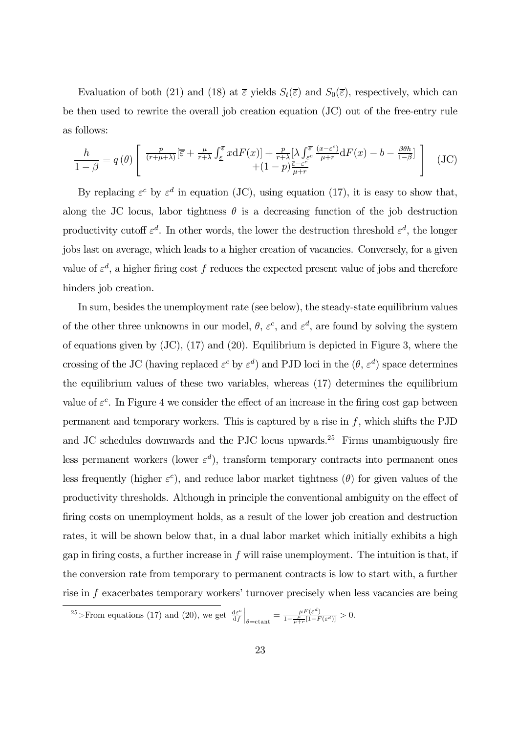Evaluation of both (21) and (18) at  $\bar{\varepsilon}$  yields  $S_t(\bar{\varepsilon})$  and  $S_0(\bar{\varepsilon})$ , respectively, which can be then used to rewrite the overall job creation equation (JC) out of the free-entry rule as follows:

$$
\frac{h}{1-\beta} = q(\theta) \left[ \frac{\frac{p}{(r+\mu+\lambda)}[\overline{\varepsilon} + \frac{\mu}{r+\lambda} \int_{\underline{\varepsilon}}^{\overline{\varepsilon}} x dF(x)] + \frac{p}{r+\lambda} [\lambda \int_{\varepsilon^c}^{\overline{\varepsilon}} \frac{(x-\varepsilon^c)}{\mu+r} dF(x) - b - \frac{\beta\theta h}{1-\beta}] + (JC)\right]
$$
(JC)

By replacing  $\varepsilon^c$  by  $\varepsilon^d$  in equation (JC), using equation (17), it is easy to show that, along the JC locus, labor tightness  $\theta$  is a decreasing function of the job destruction productivity cutoff  $\varepsilon^d$ . In other words, the lower the destruction threshold  $\varepsilon^d$ , the longer jobs last on average, which leads to a higher creation of vacancies. Conversely, for a given value of  $\varepsilon^d$ , a higher firing cost f reduces the expected present value of jobs and therefore hinders job creation.

In sum, besides the unemployment rate (see below), the steady-state equilibrium values of the other three unknowns in our model,  $\theta$ ,  $\varepsilon^c$ , and  $\varepsilon^d$ , are found by solving the system of equations given by (JC), (17) and (20). Equilibrium is depicted in Figure 3, where the crossing of the JC (having replaced  $\varepsilon^c$  by  $\varepsilon^d$ ) and PJD loci in the  $(\theta, \varepsilon^d)$  space determines the equilibrium values of these two variables, whereas (17) determines the equilibrium value of  $\varepsilon^c$ . In Figure 4 we consider the effect of an increase in the firing cost gap between permanent and temporary workers. This is captured by a rise in  $f$ , which shifts the PJD and JC schedules downwards and the PJC locus upwards.<sup>25</sup> Firms unambiguously fire less permanent workers (lower  $\varepsilon^d$ ), transform temporary contracts into permanent ones less frequently (higher  $\varepsilon^c$ ), and reduce labor market tightness ( $\theta$ ) for given values of the productivity thresholds. Although in principle the conventional ambiguity on the effect of firing costs on unemployment holds, as a result of the lower job creation and destruction rates, it will be shown below that, in a dual labor market which initially exhibits a high gap in firing costs, a further increase in  $f$  will raise unemployment. The intuition is that, if the conversion rate from temporary to permanent contracts is low to start with, a further rise in f exacerbates temporary workers' turnover precisely when less vacancies are being

<sup>25</sup>>From equations (17) and (20), we get  $\frac{d\varepsilon^c}{df}$  $\Big|_{\theta=\text{cant}} = \frac{\mu F(\varepsilon^d)}{1-\frac{\mu}{\mu+r}[1-F(\varepsilon^d)]} > 0.$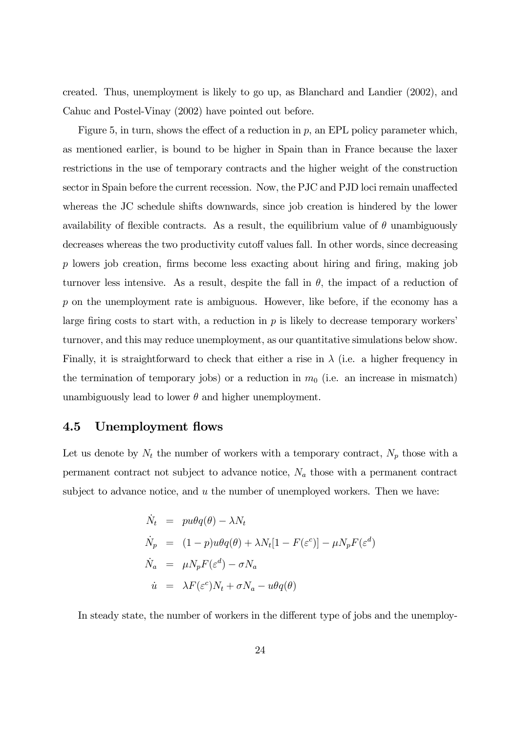created. Thus, unemployment is likely to go up, as Blanchard and Landier (2002), and Cahuc and Postel-Vinay (2002) have pointed out before.

Figure 5, in turn, shows the effect of a reduction in  $p$ , an EPL policy parameter which, as mentioned earlier, is bound to be higher in Spain than in France because the laxer restrictions in the use of temporary contracts and the higher weight of the construction sector in Spain before the current recession. Now, the PJC and PJD loci remain unaffected whereas the JC schedule shifts downwards, since job creation is hindered by the lower availability of flexible contracts. As a result, the equilibrium value of  $\theta$  unambiguously decreases whereas the two productivity cutoff values fall. In other words, since decreasing p lowers job creation, firms become less exacting about hiring and firing, making job turnover less intensive. As a result, despite the fall in  $\theta$ , the impact of a reduction of p on the unemployment rate is ambiguous. However, like before, if the economy has a large firing costs to start with, a reduction in  $p$  is likely to decrease temporary workers' turnover, and this may reduce unemployment, as our quantitative simulations below show. Finally, it is straightforward to check that either a rise in  $\lambda$  (i.e. a higher frequency in the termination of temporary jobs) or a reduction in  $m_0$  (i.e. an increase in mismatch) unambiguously lead to lower  $\theta$  and higher unemployment.

#### 4.5 Unemployment flows

Let us denote by  $N_t$  the number of workers with a temporary contract,  $N_p$  those with a permanent contract not subject to advance notice,  $N_a$  those with a permanent contract subject to advance notice, and  $u$  the number of unemployed workers. Then we have:

$$
\dot{N}_t = pu\theta q(\theta) - \lambda N_t
$$
\n
$$
\dot{N}_p = (1 - p)u\theta q(\theta) + \lambda N_t [1 - F(\varepsilon^c)] - \mu N_p F(\varepsilon^d)
$$
\n
$$
\dot{N}_a = \mu N_p F(\varepsilon^d) - \sigma N_a
$$
\n
$$
\dot{u} = \lambda F(\varepsilon^c) N_t + \sigma N_a - u\theta q(\theta)
$$

In steady state, the number of workers in the different type of jobs and the unemploy-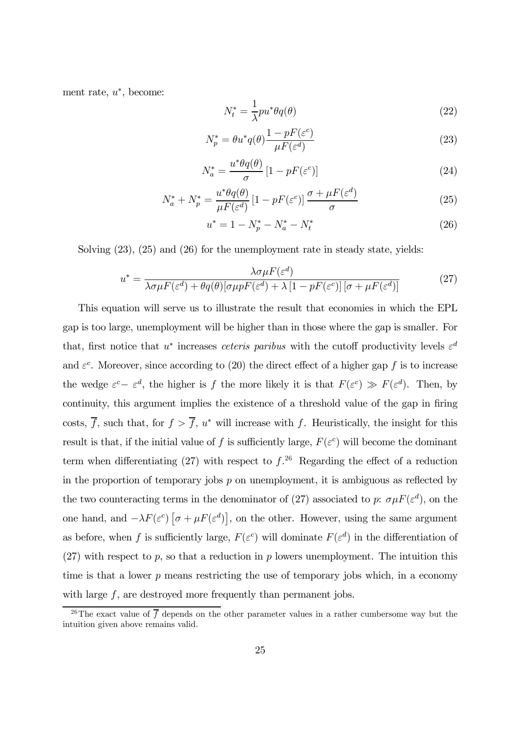ment rate,  $u^*$ , become:

$$
N_t^* = \frac{1}{\lambda} p u^* \theta q(\theta) \tag{22}
$$

$$
N_p^* = \theta u^* q(\theta) \frac{1 - pF(\varepsilon^c)}{\mu F(\varepsilon^d)}
$$
\n(23)

$$
N_a^* = \frac{u^*\theta q(\theta)}{\sigma} \left[1 - pF(\varepsilon^c)\right] \tag{24}
$$

$$
N_a^* + N_p^* = \frac{u^* \theta q(\theta)}{\mu F(\varepsilon^d)} \left[ 1 - pF(\varepsilon^c) \right] \frac{\sigma + \mu F(\varepsilon^d)}{\sigma} \tag{25}
$$

$$
u^* = 1 - N_p^* - N_a^* - N_t^* \tag{26}
$$

Solving (23), (25) and (26) for the unemployment rate in steady state, yields:

$$
u^* = \frac{\lambda \sigma \mu F(\varepsilon^d)}{\lambda \sigma \mu F(\varepsilon^d) + \theta q(\theta) [\sigma \mu p F(\varepsilon^d) + \lambda [1 - pF(\varepsilon^c)] [\sigma + \mu F(\varepsilon^d)]}
$$
(27)

This equation will serve us to illustrate the result that economies in which the EPL gap is too large, unemployment will be higher than in those where the gap is smaller. For that, first notice that u<sup>\*</sup> increases *ceteris paribus* with the cutoff productivity levels  $\varepsilon^d$ and  $\varepsilon^c$ . Moreover, since according to (20) the direct effect of a higher gap f is to increase the wedge  $\varepsilon^c - \varepsilon^d$ , the higher is f the more likely it is that  $F(\varepsilon^c) \gg F(\varepsilon^d)$ . Then, by continuity, this argument implies the existence of a threshold value of the gap in firing costs,  $\overline{f}$ , such that, for  $f > \overline{f}$ ,  $u^*$  will increase with f. Heuristically, the insight for this result is that, if the initial value of f is sufficiently large,  $F(\varepsilon^c)$  will become the dominant term when differentiating  $(27)$  with respect to  $f^{26}$ . Regarding the effect of a reduction in the proportion of temporary jobs  $p$  on unemployment, it is ambiguous as reflected by the two counteracting terms in the denominator of (27) associated to p:  $\sigma \mu F(\varepsilon^d)$ , on the one hand, and  $-\lambda F(\varepsilon^c) \left[ \sigma + \mu F(\varepsilon^d) \right]$ , on the other. However, using the same argument as before, when f is sufficiently large,  $F(\varepsilon^c)$  will dominate  $F(\varepsilon^d)$  in the differentiation of  $(27)$  with respect to p, so that a reduction in p lowers unemployment. The intuition this time is that a lower  $p$  means restricting the use of temporary jobs which, in a economy with large  $f$ , are destroyed more frequently than permanent jobs.

<sup>&</sup>lt;sup>26</sup>The exact value of  $\overline{f}$  depends on the other parameter values in a rather cumbersome way but the intuition given above remains valid.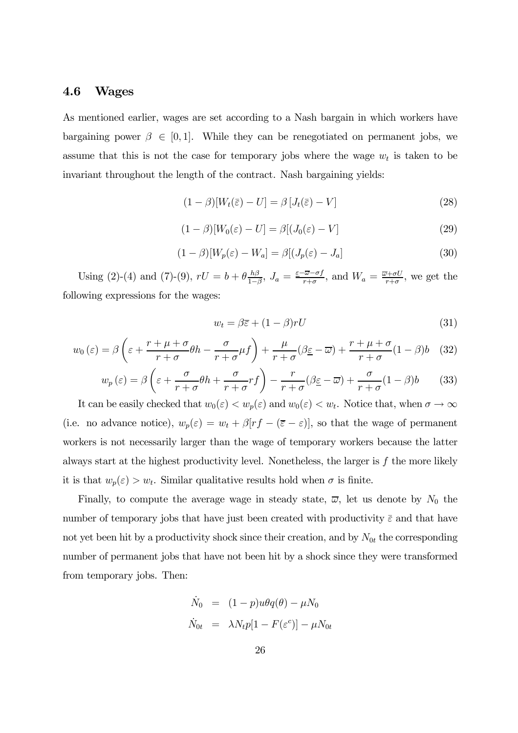#### 4.6 Wages

As mentioned earlier, wages are set according to a Nash bargain in which workers have bargaining power  $\beta \in [0, 1]$ . While they can be renegotiated on permanent jobs, we assume that this is not the case for temporary jobs where the wage  $w_t$  is taken to be invariant throughout the length of the contract. Nash bargaining yields:

$$
(1 - \beta)[W_t(\bar{\varepsilon}) - U] = \beta [J_t(\bar{\varepsilon}) - V]
$$
\n(28)

$$
(1 - \beta)[W_0(\varepsilon) - U] = \beta[(J_0(\varepsilon) - V]
$$
\n(29)

$$
(1 - \beta)[W_p(\varepsilon) - W_a] = \beta[(J_p(\varepsilon) - J_a]
$$
\n(30)

Using (2)-(4) and (7)-(9),  $rU = b + \theta \frac{h\beta}{1-\beta}$ ,  $J_a = \frac{\varepsilon - \overline{\omega} - \sigma f}{r+\sigma}$ , and  $W_a = \frac{\overline{\omega} + \sigma U}{r+\sigma}$ , we get the following expressions for the wages:

$$
w_t = \beta \overline{\varepsilon} + (1 - \beta)rU\tag{31}
$$

$$
w_0(\varepsilon) = \beta \left( \varepsilon + \frac{r + \mu + \sigma}{r + \sigma} \theta h - \frac{\sigma}{r + \sigma} \mu f \right) + \frac{\mu}{r + \sigma} (\beta \varepsilon - \overline{\omega}) + \frac{r + \mu + \sigma}{r + \sigma} (1 - \beta) b \quad (32)
$$

$$
w_p(\varepsilon) = \beta \left( \varepsilon + \frac{\sigma}{r + \sigma} \theta h + \frac{\sigma}{r + \sigma} r f \right) - \frac{r}{r + \sigma} (\beta \varepsilon - \overline{\omega}) + \frac{\sigma}{r + \sigma} (1 - \beta) b \tag{33}
$$

It can be easily checked that  $w_0(\varepsilon) < w_p(\varepsilon)$  and  $w_0(\varepsilon) < w_t$ . Notice that, when  $\sigma \to \infty$ (i.e. no advance notice),  $w_p(\varepsilon) = w_t + \beta[rf - (\overline{\varepsilon} - \varepsilon)]$ , so that the wage of permanent workers is not necessarily larger than the wage of temporary workers because the latter always start at the highest productivity level. Nonetheless, the larger is  $f$  the more likely it is that  $w_p(\varepsilon) > w_t$ . Similar qualitative results hold when  $\sigma$  is finite.

Finally, to compute the average wage in steady state,  $\overline{\omega}$ , let us denote by  $N_0$  the number of temporary jobs that have just been created with productivity  $\bar{\varepsilon}$  and that have not yet been hit by a productivity shock since their creation, and by  $N_{0t}$  the corresponding number of permanent jobs that have not been hit by a shock since they were transformed from temporary jobs. Then:

$$
\dot{N}_0 = (1 - p)u\theta q(\theta) - \mu N_0
$$
  

$$
\dot{N}_{0t} = \lambda N_t p[1 - F(\varepsilon^c)] - \mu N_{0t}
$$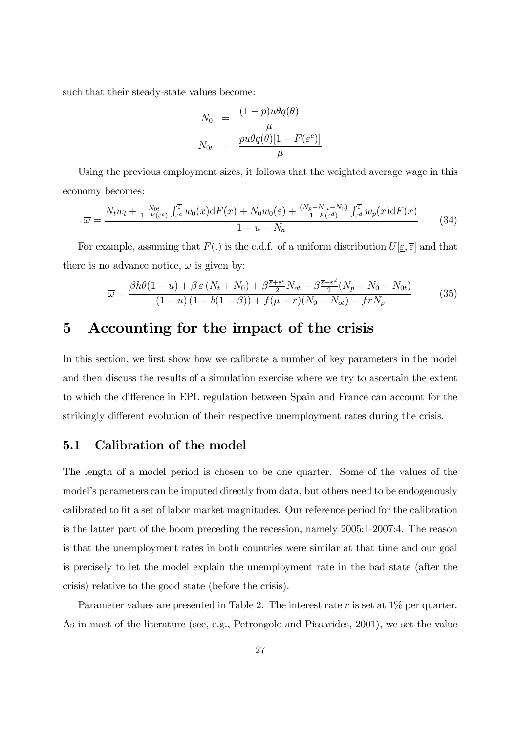such that their steady-state values become:

$$
N_0 = \frac{(1-p)u\theta q(\theta)}{\mu}
$$
  

$$
N_{0t} = \frac{pu\theta q(\theta)[1 - F(\varepsilon^c)]}{\mu}
$$

Using the previous employment sizes, it follows that the weighted average wage in this economy becomes:

$$
\overline{\omega} = \frac{N_t w_t + \frac{N_{0t}}{1 - F(\varepsilon^c)} \int_{\varepsilon^c}^{\overline{\varepsilon}} w_0(x) dF(x) + N_0 w_0(\overline{\varepsilon}) + \frac{(N_p - N_{0t} - N_0)}{1 - F(\varepsilon^d)} \int_{\varepsilon^d}^{\overline{\varepsilon}} w_p(x) dF(x)}{1 - u - N_a}
$$
(34)

For example, assuming that  $F(.)$  is the c.d.f. of a uniform distribution  $U[\underline{\varepsilon}, \overline{\varepsilon}]$  and that there is no advance notice,  $\overline{\omega}$  is given by:

$$
\overline{\omega} = \frac{\beta h \theta (1 - u) + \beta \,\overline{\varepsilon} \left( N_t + N_0 \right) + \beta \frac{\overline{\varepsilon} + \varepsilon^c}{2} N_{ot} + \beta \frac{\overline{\varepsilon} + \varepsilon^d}{2} (N_p - N_0 - N_{0t})}{(1 - u) \left( 1 - b(1 - \beta) \right) + f(\mu + r)(N_0 + N_{ot}) - frN_p} \tag{35}
$$

## 5 Accounting for the impact of the crisis

In this section, we first show how we calibrate a number of key parameters in the model and then discuss the results of a simulation exercise where we try to ascertain the extent to which the difference in EPL regulation between Spain and France can account for the strikingly different evolution of their respective unemployment rates during the crisis.

#### 5.1 Calibration of the model

The length of a model period is chosen to be one quarter. Some of the values of the model's parameters can be imputed directly from data, but others need to be endogenously calibrated to fit a set of labor market magnitudes. Our reference period for the calibration is the latter part of the boom preceding the recession, namely 2005:1-2007:4. The reason is that the unemployment rates in both countries were similar at that time and our goal is precisely to let the model explain the unemployment rate in the bad state (after the crisis) relative to the good state (before the crisis).

Parameter values are presented in Table 2. The interest rate  $r$  is set at  $1\%$  per quarter. As in most of the literature (see, e.g., Petrongolo and Pissarides, 2001), we set the value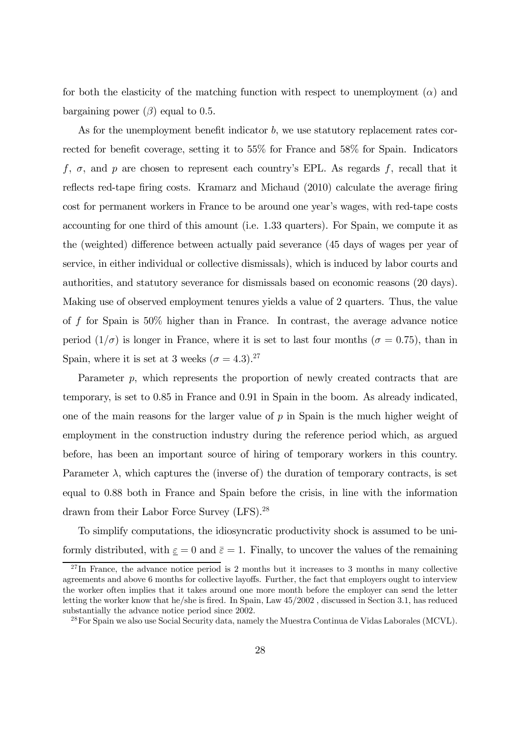for both the elasticity of the matching function with respect to unemployment  $(\alpha)$  and bargaining power  $(\beta)$  equal to 0.5.

As for the unemployment benefit indicator b, we use statutory replacement rates corrected for benefit coverage, setting it to 55% for France and 58% for Spain. Indicators f,  $\sigma$ , and p are chosen to represent each country's EPL. As regards f, recall that it reflects red-tape firing costs. Kramarz and Michaud (2010) calculate the average firing cost for permanent workers in France to be around one year's wages, with red-tape costs accounting for one third of this amount (i.e. 1.33 quarters). For Spain, we compute it as the (weighted) difference between actually paid severance (45 days of wages per year of service, in either individual or collective dismissals), which is induced by labor courts and authorities, and statutory severance for dismissals based on economic reasons (20 days). Making use of observed employment tenures yields a value of 2 quarters. Thus, the value of f for Spain is 50% higher than in France. In contrast, the average advance notice period  $(1/\sigma)$  is longer in France, where it is set to last four months ( $\sigma = 0.75$ ), than in Spain, where it is set at 3 weeks  $(\sigma = 4.3).^{27}$ 

Parameter p, which represents the proportion of newly created contracts that are temporary, is set to 0.85 in France and 0.91 in Spain in the boom. As already indicated, one of the main reasons for the larger value of  $p$  in Spain is the much higher weight of employment in the construction industry during the reference period which, as argued before, has been an important source of hiring of temporary workers in this country. Parameter  $\lambda$ , which captures the (inverse of) the duration of temporary contracts, is set equal to 0.88 both in France and Spain before the crisis, in line with the information drawn from their Labor Force Survey (LFS).28

To simplify computations, the idiosyncratic productivity shock is assumed to be uniformly distributed, with  $\underline{\varepsilon} = 0$  and  $\overline{\varepsilon} = 1$ . Finally, to uncover the values of the remaining

 $^{27}$ In France, the advance notice period is 2 months but it increases to 3 months in many collective agreements and above 6 months for collective layoffs. Further, the fact that employers ought to interview the worker often implies that it takes around one more month before the employer can send the letter letting the worker know that he/she is fired. In Spain, Law 45/2002 , discussed in Section 3.1, has reduced substantially the advance notice period since 2002.

<sup>&</sup>lt;sup>28</sup>For Spain we also use Social Security data, namely the Muestra Continua de Vidas Laborales (MCVL).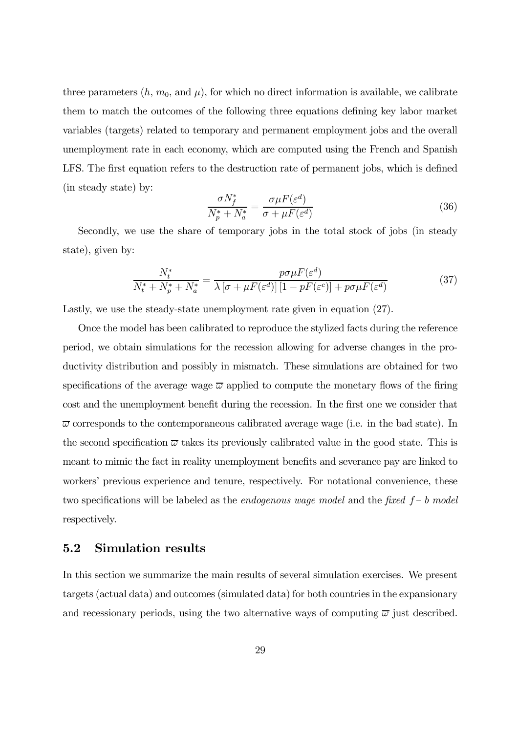three parameters  $(h, m_0, \text{ and } \mu)$ , for which no direct information is available, we calibrate them to match the outcomes of the following three equations defining key labor market variables (targets) related to temporary and permanent employment jobs and the overall unemployment rate in each economy, which are computed using the French and Spanish LFS. The first equation refers to the destruction rate of permanent jobs, which is defined (in steady state) by:

$$
\frac{\sigma N_f^*}{N_p^* + N_a^*} = \frac{\sigma \mu F(\varepsilon^d)}{\sigma + \mu F(\varepsilon^d)}\tag{36}
$$

Secondly, we use the share of temporary jobs in the total stock of jobs (in steady state), given by:

$$
\frac{N_t^*}{N_t^* + N_p^* + N_a^*} = \frac{p\sigma\mu F(\varepsilon^d)}{\lambda \left[\sigma + \mu F(\varepsilon^d)\right] \left[1 - pF(\varepsilon^c)\right] + p\sigma\mu F(\varepsilon^d)}\tag{37}
$$

Lastly, we use the steady-state unemployment rate given in equation  $(27)$ .

Once the model has been calibrated to reproduce the stylized facts during the reference period, we obtain simulations for the recession allowing for adverse changes in the productivity distribution and possibly in mismatch. These simulations are obtained for two specifications of the average wage  $\overline{\omega}$  applied to compute the monetary flows of the firing cost and the unemployment benefit during the recession. In the first one we consider that  $\overline{\omega}$  corresponds to the contemporaneous calibrated average wage (i.e. in the bad state). In the second specification  $\overline{\omega}$  takes its previously calibrated value in the good state. This is meant to mimic the fact in reality unemployment benefits and severance pay are linked to workers' previous experience and tenure, respectively. For notational convenience, these two specifications will be labeled as the *endogenous wage model* and the fixed  $f - b$  model respectively.

#### 5.2 Simulation results

In this section we summarize the main results of several simulation exercises. We present targets (actual data) and outcomes (simulated data) for both countries in the expansionary and recessionary periods, using the two alternative ways of computing  $\overline{\omega}$  just described.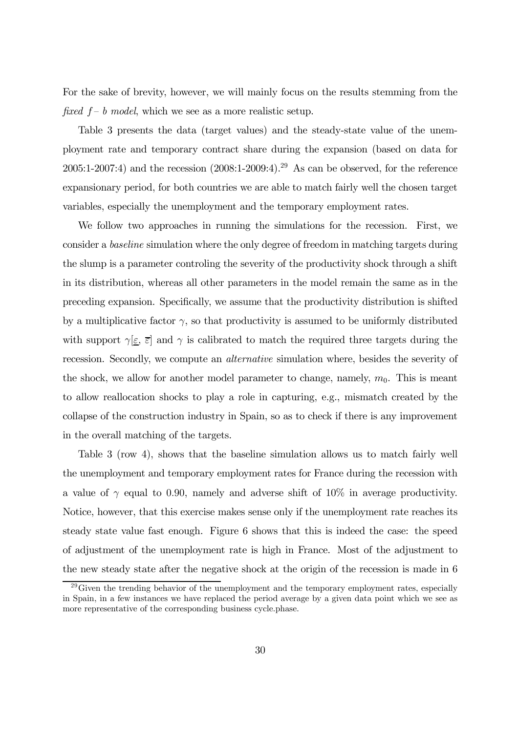For the sake of brevity, however, we will mainly focus on the results stemming from the fixed  $f-b \mod e$ , which we see as a more realistic setup.

Table 3 presents the data (target values) and the steady-state value of the unemployment rate and temporary contract share during the expansion (based on data for 2005:1-2007:4) and the recession  $(2008:1-2009:4).^{29}$  As can be observed, for the reference expansionary period, for both countries we are able to match fairly well the chosen target variables, especially the unemployment and the temporary employment rates.

We follow two approaches in running the simulations for the recession. First, we consider a baseline simulation where the only degree of freedom in matching targets during the slump is a parameter controling the severity of the productivity shock through a shift in its distribution, whereas all other parameters in the model remain the same as in the preceding expansion. Specifically, we assume that the productivity distribution is shifted by a multiplicative factor  $\gamma$ , so that productivity is assumed to be uniformly distributed with support  $\gamma[\underline{\varepsilon}, \overline{\varepsilon}]$  and  $\gamma$  is calibrated to match the required three targets during the recession. Secondly, we compute an *alternative* simulation where, besides the severity of the shock, we allow for another model parameter to change, namely,  $m_0$ . This is meant to allow reallocation shocks to play a role in capturing, e.g., mismatch created by the collapse of the construction industry in Spain, so as to check if there is any improvement in the overall matching of the targets.

Table 3 (row 4), shows that the baseline simulation allows us to match fairly well the unemployment and temporary employment rates for France during the recession with a value of  $\gamma$  equal to 0.90, namely and adverse shift of 10% in average productivity. Notice, however, that this exercise makes sense only if the unemployment rate reaches its steady state value fast enough. Figure 6 shows that this is indeed the case: the speed of adjustment of the unemployment rate is high in France. Most of the adjustment to the new steady state after the negative shock at the origin of the recession is made in 6

 $^{29}$ Given the trending behavior of the unemployment and the temporary employment rates, especially in Spain, in a few instances we have replaced the period average by a given data point which we see as more representative of the corresponding business cycle.phase.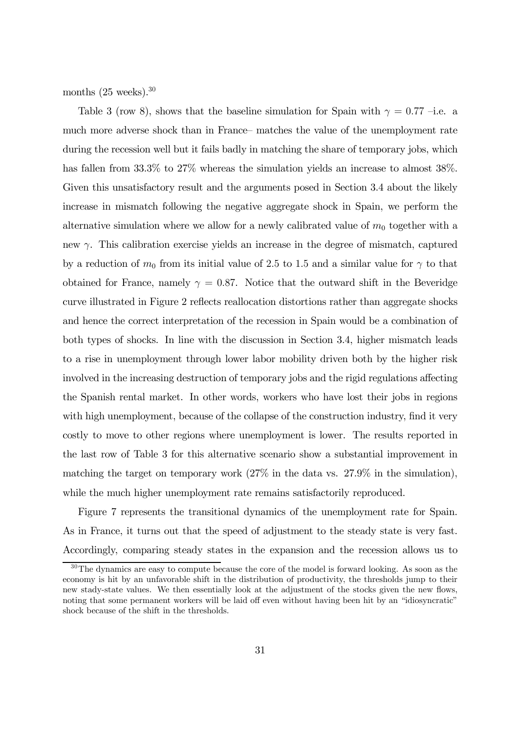months  $(25 \text{ weeks})$ .<sup>30</sup>

Table 3 (row 8), shows that the baseline simulation for Spain with  $\gamma = 0.77$  –i.e. a much more adverse shock than in France— matches the value of the unemployment rate during the recession well but it fails badly in matching the share of temporary jobs, which has fallen from 33.3% to 27% whereas the simulation yields an increase to almost 38%. Given this unsatisfactory result and the arguments posed in Section 3.4 about the likely increase in mismatch following the negative aggregate shock in Spain, we perform the alternative simulation where we allow for a newly calibrated value of  $m_0$  together with a new  $\gamma$ . This calibration exercise yields an increase in the degree of mismatch, captured by a reduction of  $m_0$  from its initial value of 2.5 to 1.5 and a similar value for  $\gamma$  to that obtained for France, namely  $\gamma = 0.87$ . Notice that the outward shift in the Beveridge curve illustrated in Figure 2 reflects reallocation distortions rather than aggregate shocks and hence the correct interpretation of the recession in Spain would be a combination of both types of shocks. In line with the discussion in Section 3.4, higher mismatch leads to a rise in unemployment through lower labor mobility driven both by the higher risk involved in the increasing destruction of temporary jobs and the rigid regulations affecting the Spanish rental market. In other words, workers who have lost their jobs in regions with high unemployment, because of the collapse of the construction industry, find it very costly to move to other regions where unemployment is lower. The results reported in the last row of Table 3 for this alternative scenario show a substantial improvement in matching the target on temporary work (27% in the data vs. 27.9% in the simulation), while the much higher unemployment rate remains satisfactorily reproduced.

Figure 7 represents the transitional dynamics of the unemployment rate for Spain. As in France, it turns out that the speed of adjustment to the steady state is very fast. Accordingly, comparing steady states in the expansion and the recession allows us to

<sup>&</sup>lt;sup>30</sup>The dynamics are easy to compute because the core of the model is forward looking. As soon as the economy is hit by an unfavorable shift in the distribution of productivity, the thresholds jump to their new stady-state values. We then essentially look at the adjustment of the stocks given the new flows, noting that some permanent workers will be laid off even without having been hit by an "idiosyncratic" shock because of the shift in the thresholds.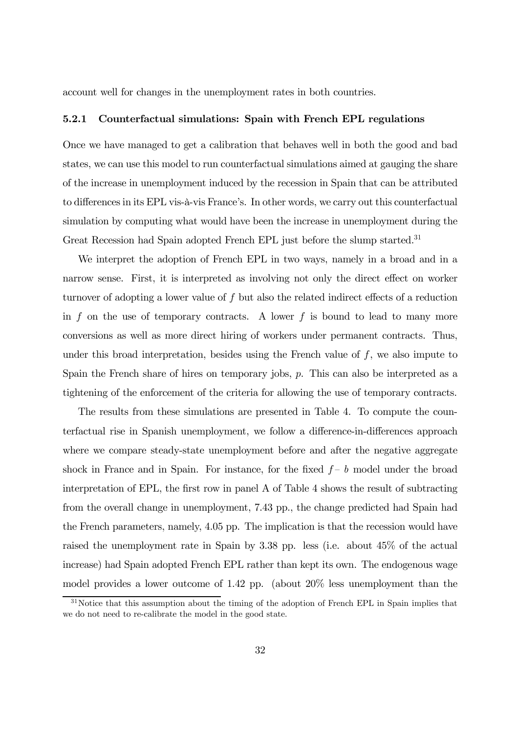account well for changes in the unemployment rates in both countries.

#### 5.2.1 Counterfactual simulations: Spain with French EPL regulations

Once we have managed to get a calibration that behaves well in both the good and bad states, we can use this model to run counterfactual simulations aimed at gauging the share of the increase in unemployment induced by the recession in Spain that can be attributed to differences in its EPL vis-à-vis France's. In other words, we carry out this counterfactual simulation by computing what would have been the increase in unemployment during the Great Recession had Spain adopted French EPL just before the slump started.<sup>31</sup>

We interpret the adoption of French EPL in two ways, namely in a broad and in a narrow sense. First, it is interpreted as involving not only the direct effect on worker turnover of adopting a lower value of f but also the related indirect effects of a reduction in f on the use of temporary contracts. A lower f is bound to lead to many more conversions as well as more direct hiring of workers under permanent contracts. Thus, under this broad interpretation, besides using the French value of  $f$ , we also impute to Spain the French share of hires on temporary jobs,  $p$ . This can also be interpreted as a tightening of the enforcement of the criteria for allowing the use of temporary contracts.

The results from these simulations are presented in Table 4. To compute the counterfactual rise in Spanish unemployment, we follow a difference-in-differences approach where we compare steady-state unemployment before and after the negative aggregate shock in France and in Spain. For instance, for the fixed  $f - b$  model under the broad interpretation of EPL, the first row in panel A of Table 4 shows the result of subtracting from the overall change in unemployment, 7.43 pp., the change predicted had Spain had the French parameters, namely, 4.05 pp. The implication is that the recession would have raised the unemployment rate in Spain by 3.38 pp. less (i.e. about 45% of the actual increase) had Spain adopted French EPL rather than kept its own. The endogenous wage model provides a lower outcome of 1.42 pp. (about 20% less unemployment than the

<sup>&</sup>lt;sup>31</sup>Notice that this assumption about the timing of the adoption of French EPL in Spain implies that we do not need to re-calibrate the model in the good state.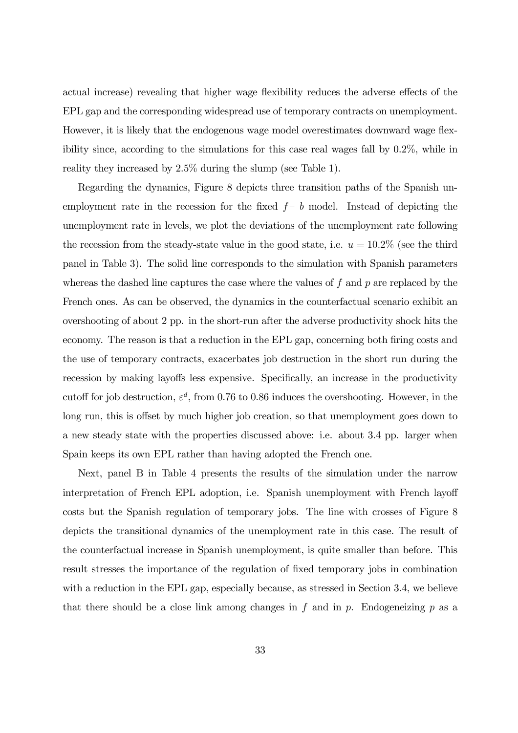actual increase) revealing that higher wage flexibility reduces the adverse effects of the EPL gap and the corresponding widespread use of temporary contracts on unemployment. However, it is likely that the endogenous wage model overestimates downward wage flexibility since, according to the simulations for this case real wages fall by 0.2%, while in reality they increased by 2.5% during the slump (see Table 1).

Regarding the dynamics, Figure 8 depicts three transition paths of the Spanish unemployment rate in the recession for the fixed  $f-b$  model. Instead of depicting the unemployment rate in levels, we plot the deviations of the unemployment rate following the recession from the steady-state value in the good state, i.e.  $u = 10.2\%$  (see the third panel in Table 3). The solid line corresponds to the simulation with Spanish parameters whereas the dashed line captures the case where the values of  $f$  and  $p$  are replaced by the French ones. As can be observed, the dynamics in the counterfactual scenario exhibit an overshooting of about 2 pp. in the short-run after the adverse productivity shock hits the economy. The reason is that a reduction in the EPL gap, concerning both firing costs and the use of temporary contracts, exacerbates job destruction in the short run during the recession by making layoffs less expensive. Specifically, an increase in the productivity cutoff for job destruction,  $\varepsilon^d$ , from 0.76 to 0.86 induces the overshooting. However, in the long run, this is offset by much higher job creation, so that unemployment goes down to a new steady state with the properties discussed above: i.e. about 3.4 pp. larger when Spain keeps its own EPL rather than having adopted the French one.

Next, panel B in Table 4 presents the results of the simulation under the narrow interpretation of French EPL adoption, i.e. Spanish unemployment with French layoff costs but the Spanish regulation of temporary jobs. The line with crosses of Figure 8 depicts the transitional dynamics of the unemployment rate in this case. The result of the counterfactual increase in Spanish unemployment, is quite smaller than before. This result stresses the importance of the regulation of fixed temporary jobs in combination with a reduction in the EPL gap, especially because, as stressed in Section 3.4, we believe that there should be a close link among changes in f and in p. Endogeneizing p as a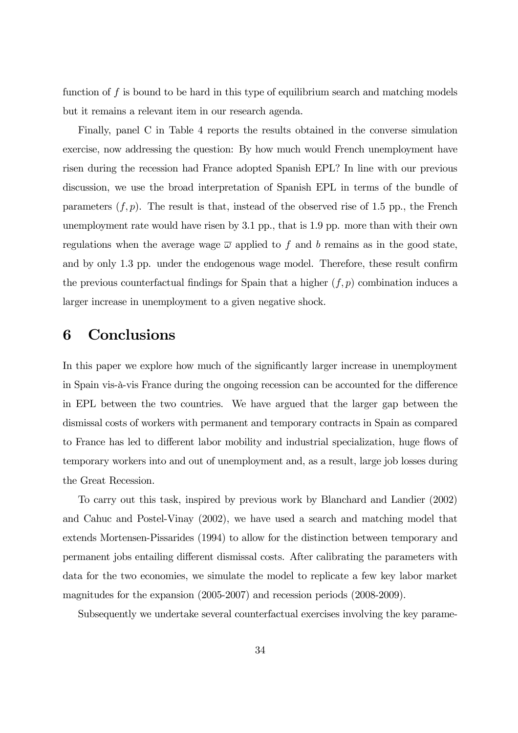function of  $f$  is bound to be hard in this type of equilibrium search and matching models but it remains a relevant item in our research agenda.

Finally, panel C in Table 4 reports the results obtained in the converse simulation exercise, now addressing the question: By how much would French unemployment have risen during the recession had France adopted Spanish EPL? In line with our previous discussion, we use the broad interpretation of Spanish EPL in terms of the bundle of parameters  $(f, p)$ . The result is that, instead of the observed rise of 1.5 pp., the French unemployment rate would have risen by 3.1 pp., that is 1.9 pp. more than with their own regulations when the average wage  $\overline{\omega}$  applied to f and b remains as in the good state, and by only 1.3 pp. under the endogenous wage model. Therefore, these result confirm the previous counterfactual findings for Spain that a higher  $(f, p)$  combination induces a larger increase in unemployment to a given negative shock.

## 6 Conclusions

In this paper we explore how much of the significantly larger increase in unemployment in Spain vis-à-vis France during the ongoing recession can be accounted for the difference in EPL between the two countries. We have argued that the larger gap between the dismissal costs of workers with permanent and temporary contracts in Spain as compared to France has led to different labor mobility and industrial specialization, huge flows of temporary workers into and out of unemployment and, as a result, large job losses during the Great Recession.

To carry out this task, inspired by previous work by Blanchard and Landier (2002) and Cahuc and Postel-Vinay (2002), we have used a search and matching model that extends Mortensen-Pissarides (1994) to allow for the distinction between temporary and permanent jobs entailing different dismissal costs. After calibrating the parameters with data for the two economies, we simulate the model to replicate a few key labor market magnitudes for the expansion (2005-2007) and recession periods (2008-2009).

Subsequently we undertake several counterfactual exercises involving the key parame-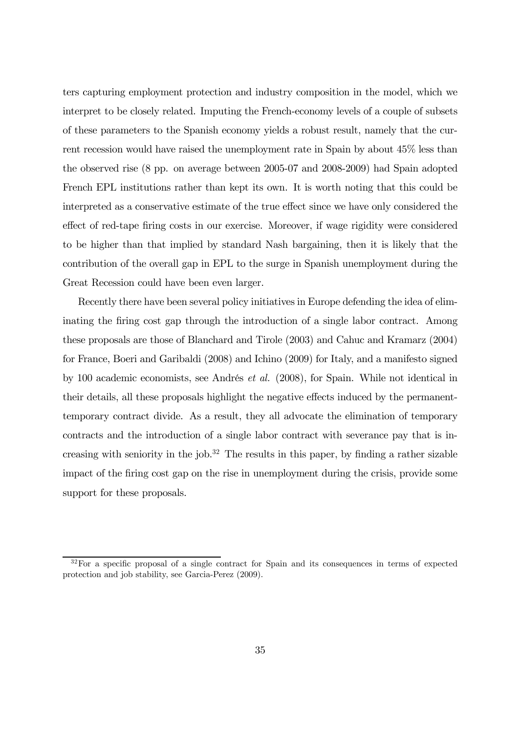ters capturing employment protection and industry composition in the model, which we interpret to be closely related. Imputing the French-economy levels of a couple of subsets of these parameters to the Spanish economy yields a robust result, namely that the current recession would have raised the unemployment rate in Spain by about 45% less than the observed rise (8 pp. on average between 2005-07 and 2008-2009) had Spain adopted French EPL institutions rather than kept its own. It is worth noting that this could be interpreted as a conservative estimate of the true effect since we have only considered the effect of red-tape firing costs in our exercise. Moreover, if wage rigidity were considered to be higher than that implied by standard Nash bargaining, then it is likely that the contribution of the overall gap in EPL to the surge in Spanish unemployment during the Great Recession could have been even larger.

Recently there have been several policy initiatives in Europe defending the idea of eliminating the firing cost gap through the introduction of a single labor contract. Among these proposals are those of Blanchard and Tirole (2003) and Cahuc and Kramarz (2004) for France, Boeri and Garibaldi (2008) and Ichino (2009) for Italy, and a manifesto signed by 100 academic economists, see Andrés et al. (2008), for Spain. While not identical in their details, all these proposals highlight the negative effects induced by the permanenttemporary contract divide. As a result, they all advocate the elimination of temporary contracts and the introduction of a single labor contract with severance pay that is increasing with seniority in the job.<sup>32</sup> The results in this paper, by finding a rather sizable impact of the firing cost gap on the rise in unemployment during the crisis, provide some support for these proposals.

<sup>&</sup>lt;sup>32</sup>For a specific proposal of a single contract for Spain and its consequences in terms of expected protection and job stability, see Garcia-Perez (2009).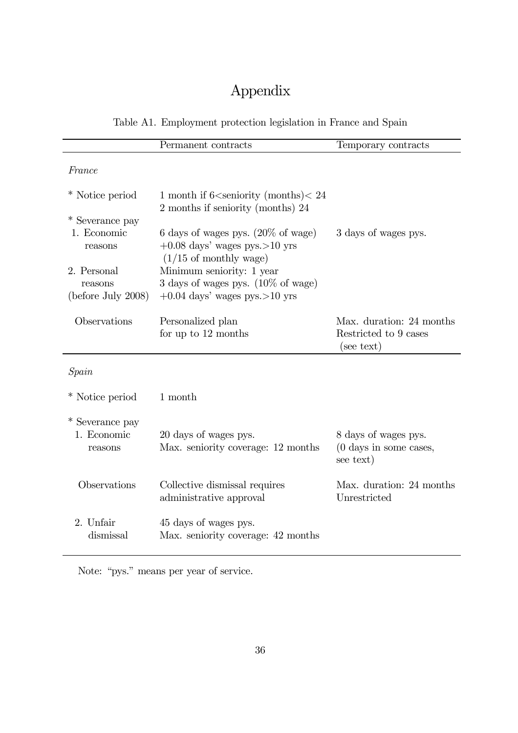## Appendix

### Table A1. Employment protection legislation in France and Spain

|                                           | Permanent contracts                                                                                                   | Temporary contracts                                                   |
|-------------------------------------------|-----------------------------------------------------------------------------------------------------------------------|-----------------------------------------------------------------------|
| France                                    |                                                                                                                       |                                                                       |
| * Notice period                           | 1 month if $6\le$ seniority (months) $<$ 24<br>2 months if seniority (months) 24                                      |                                                                       |
| * Severance pay                           |                                                                                                                       |                                                                       |
| 1. Economic<br>reasons                    | 6 days of wages pys. $(20\% \text{ of wage})$<br>$+0.08$ days' wages pys. >10 yrs<br>$(1/15 \text{ of monthly wage})$ | 3 days of wages pys.                                                  |
| 2. Personal                               | Minimum seniority: 1 year                                                                                             |                                                                       |
| reasons                                   | 3 days of wages pys. $(10\% \text{ of wage})$                                                                         |                                                                       |
| (before July 2008)                        | $+0.04$ days' wages pys. >10 yrs                                                                                      |                                                                       |
| Observations                              | Personalized plan<br>for up to 12 months                                                                              | Max. duration: 24 months<br>Restricted to 9 cases                     |
|                                           |                                                                                                                       | (see text)                                                            |
| Spain                                     |                                                                                                                       |                                                                       |
| * Notice period                           | 1 month                                                                                                               |                                                                       |
| * Severance pay<br>1. Economic<br>reasons | 20 days of wages pys.<br>Max. seniority coverage: 12 months                                                           | 8 days of wages pys.<br>$(0 \text{ days in some cases},$<br>see text) |
| Observations                              | Collective dismissal requires<br>administrative approval                                                              | Max. duration: 24 months<br>Unrestricted                              |
| 2. Unfair<br>dismissal                    | 45 days of wages pys.<br>Max. seniority coverage: 42 months                                                           |                                                                       |

Note: "pys." means per year of service.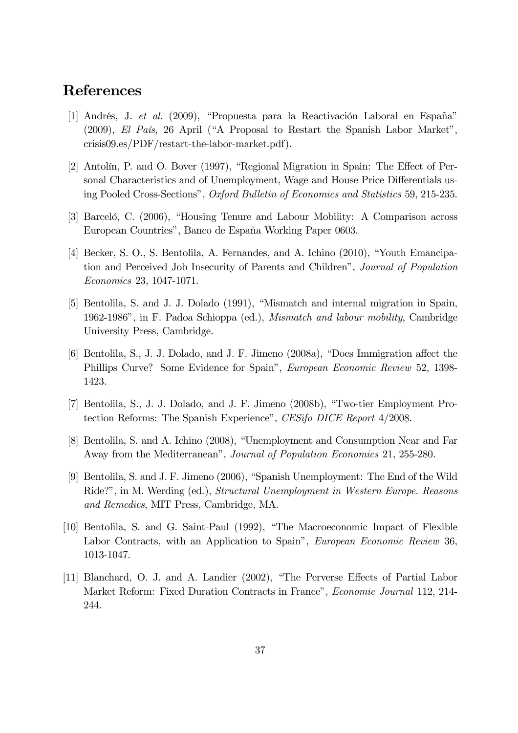## References

- [1] Andrés, J. et al. (2009), "Propuesta para la Reactivación Laboral en España" (2009), El País, 26 April ("A Proposal to Restart the Spanish Labor Market", crisis09.es/PDF/restart-the-labor-market.pdf).
- [2] Antolín, P. and O. Bover (1997), "Regional Migration in Spain: The Effect of Personal Characteristics and of Unemployment, Wage and House Price Differentials using Pooled Cross-Sections", Oxford Bulletin of Economics and Statistics 59, 215-235.
- [3] Barceló, C. (2006), "Housing Tenure and Labour Mobility: A Comparison across European Countries", Banco de España Working Paper 0603.
- [4] Becker, S. O., S. Bentolila, A. Fernandes, and A. Ichino (2010), "Youth Emancipation and Perceived Job Insecurity of Parents and Children", Journal of Population Economics 23, 1047-1071.
- [5] Bentolila, S. and J. J. Dolado (1991), "Mismatch and internal migration in Spain, 1962-1986", in F. Padoa Schioppa (ed.), Mismatch and labour mobility, Cambridge University Press, Cambridge.
- [6] Bentolila, S., J. J. Dolado, and J. F. Jimeno (2008a), "Does Immigration affect the Phillips Curve? Some Evidence for Spain", European Economic Review 52, 1398- 1423.
- [7] Bentolila, S., J. J. Dolado, and J. F. Jimeno (2008b), "Two-tier Employment Protection Reforms: The Spanish Experience", CESifo DICE Report 4/2008.
- [8] Bentolila, S. and A. Ichino (2008), "Unemployment and Consumption Near and Far Away from the Mediterranean", Journal of Population Economics 21, 255-280.
- [9] Bentolila, S. and J. F. Jimeno (2006), "Spanish Unemployment: The End of the Wild Ride?", in M. Werding (ed.), Structural Unemployment in Western Europe. Reasons and Remedies, MIT Press, Cambridge, MA.
- [10] Bentolila, S. and G. Saint-Paul (1992), "The Macroeconomic Impact of Flexible Labor Contracts, with an Application to Spain", European Economic Review 36, 1013-1047.
- [11] Blanchard, O. J. and A. Landier (2002), "The Perverse Effects of Partial Labor Market Reform: Fixed Duration Contracts in France", Economic Journal 112, 214- 244.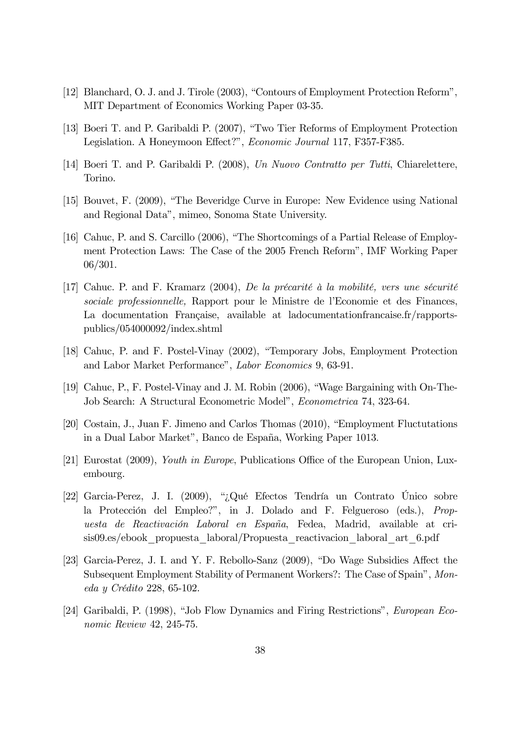- [12] Blanchard, O. J. and J. Tirole (2003), "Contours of Employment Protection Reform", MIT Department of Economics Working Paper 03-35.
- [13] Boeri T. and P. Garibaldi P. (2007), "Two Tier Reforms of Employment Protection Legislation. A Honeymoon Effect?", Economic Journal 117, F357-F385.
- [14] Boeri T. and P. Garibaldi P. (2008), Un Nuovo Contratto per Tutti, Chiarelettere, Torino.
- [15] Bouvet, F. (2009), "The Beveridge Curve in Europe: New Evidence using National and Regional Data", mimeo, Sonoma State University.
- [16] Cahuc, P. and S. Carcillo (2006), "The Shortcomings of a Partial Release of Employment Protection Laws: The Case of the 2005 French Reform", IMF Working Paper 06/301.
- [17] Cahuc. P. and F. Kramarz (2004), De la précarité à la mobilité, vers une sécurité sociale professionnelle, Rapport pour le Ministre de l'Economie et des Finances, La documentation Française, available at ladocumentationfrancaise.fr/rapportspublics/054000092/index.shtml
- [18] Cahuc, P. and F. Postel-Vinay (2002), "Temporary Jobs, Employment Protection and Labor Market Performance", Labor Economics 9, 63-91.
- [19] Cahuc, P., F. Postel-Vinay and J. M. Robin (2006), "Wage Bargaining with On-The-Job Search: A Structural Econometric Model", Econometrica 74, 323-64.
- [20] Costain, J., Juan F. Jimeno and Carlos Thomas (2010), "Employment Fluctutations in a Dual Labor Market", Banco de España, Working Paper 1013.
- [21] Eurostat (2009), Youth in Europe, Publications Office of the European Union, Luxembourg.
- [22] Garcia-Perez, J. I. (2009), "¿Qué Efectos Tendría un Contrato Único sobre la Protección del Empleo?", in J. Dolado and F. Felgueroso (eds.), Propuesta de Reactivación Laboral en España, Fedea, Madrid, available at crisis09.es/ebook\_propuesta\_laboral/Propuesta\_reactivacion\_laboral\_art\_6.pdf
- [23] Garcia-Perez, J. I. and Y. F. Rebollo-Sanz (2009), "Do Wage Subsidies Affect the Subsequent Employment Stability of Permanent Workers?: The Case of Spain", Moneda y Crédito 228, 65-102.
- [24] Garibaldi, P. (1998), "Job Flow Dynamics and Firing Restrictions", European Economic Review 42, 245-75.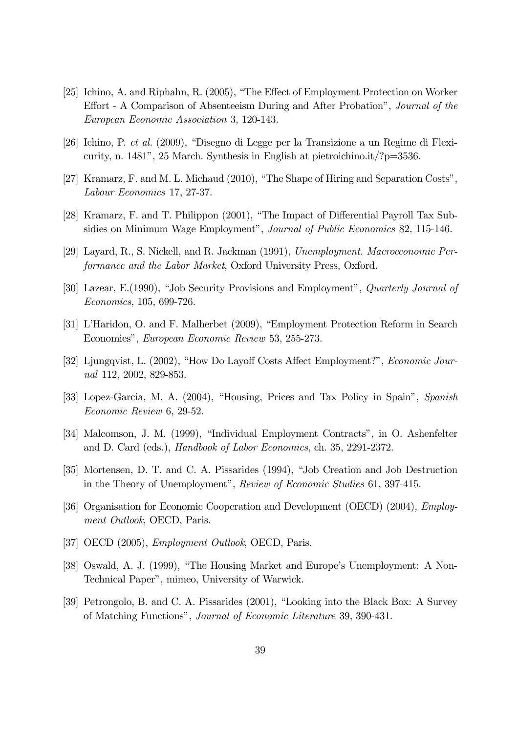- [25] Ichino, A. and Riphahn, R. (2005), "The Effect of Employment Protection on Worker Effort - A Comparison of Absenteeism During and After Probation", Journal of the European Economic Association 3, 120-143.
- [26] Ichino, P. et al. (2009), "Disegno di Legge per la Transizione a un Regime di Flexicurity, n. 1481", 25 March. Synthesis in English at pietroichino.it/?p=3536.
- [27] Kramarz, F. and M. L. Michaud (2010), "The Shape of Hiring and Separation Costs", Labour Economics 17, 27-37.
- [28] Kramarz, F. and T. Philippon (2001), "The Impact of Differential Payroll Tax Subsidies on Minimum Wage Employment", Journal of Public Economics 82, 115-146.
- [29] Layard, R., S. Nickell, and R. Jackman (1991), Unemployment. Macroeconomic Performance and the Labor Market, Oxford University Press, Oxford.
- [30] Lazear, E.(1990), "Job Security Provisions and Employment", Quarterly Journal of Economics, 105, 699-726.
- [31] L'Haridon, O. and F. Malherbet (2009), "Employment Protection Reform in Search Economies", European Economic Review 53, 255-273.
- [32] Ljungqvist, L. (2002), "How Do Layoff Costs Affect Employment?", Economic Journal 112, 2002, 829-853.
- [33] Lopez-Garcia, M. A. (2004), "Housing, Prices and Tax Policy in Spain", Spanish Economic Review 6, 29-52.
- [34] Malcomson, J. M. (1999), "Individual Employment Contracts", in O. Ashenfelter and D. Card (eds.), Handbook of Labor Economics, ch. 35, 2291-2372.
- [35] Mortensen, D. T. and C. A. Pissarides (1994), "Job Creation and Job Destruction in the Theory of Unemployment", Review of Economic Studies 61, 397-415.
- [36] Organisation for Economic Cooperation and Development (OECD) (2004), Employment Outlook, OECD, Paris.
- [37] OECD (2005), *Employment Outlook*, OECD, Paris.
- [38] Oswald, A. J. (1999), "The Housing Market and Europe's Unemployment: A Non-Technical Paper", mimeo, University of Warwick.
- [39] Petrongolo, B. and C. A. Pissarides (2001), "Looking into the Black Box: A Survey of Matching Functions", Journal of Economic Literature 39, 390-431.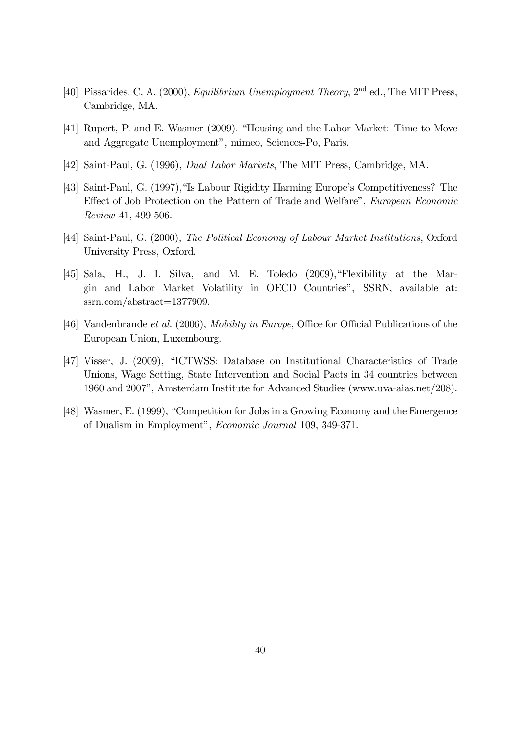- [40] Pissarides, C. A. (2000), *Equilibrium Unemployment Theory*, 2<sup>nd</sup> ed., The MIT Press, Cambridge, MA.
- [41] Rupert, P. and E. Wasmer (2009), "Housing and the Labor Market: Time to Move and Aggregate Unemployment", mimeo, Sciences-Po, Paris.
- [42] Saint-Paul, G. (1996), Dual Labor Markets, The MIT Press, Cambridge, MA.
- [43] Saint-Paul, G. (1997),"Is Labour Rigidity Harming Europe's Competitiveness? The Effect of Job Protection on the Pattern of Trade and Welfare", European Economic Review 41, 499-506.
- [44] Saint-Paul, G. (2000), The Political Economy of Labour Market Institutions, Oxford University Press, Oxford.
- [45] Sala, H., J. I. Silva, and M. E. Toledo (2009),"Flexibility at the Margin and Labor Market Volatility in OECD Countries", SSRN, available at: ssrn.com/abstract=1377909.
- [46] Vandenbrande et al. (2006), Mobility in Europe, Office for Official Publications of the European Union, Luxembourg.
- [47] Visser, J. (2009), "ICTWSS: Database on Institutional Characteristics of Trade Unions, Wage Setting, State Intervention and Social Pacts in 34 countries between 1960 and 2007", Amsterdam Institute for Advanced Studies (www.uva-aias.net/208).
- [48] Wasmer, E. (1999), "Competition for Jobs in a Growing Economy and the Emergence of Dualism in Employment", Economic Journal 109, 349-371.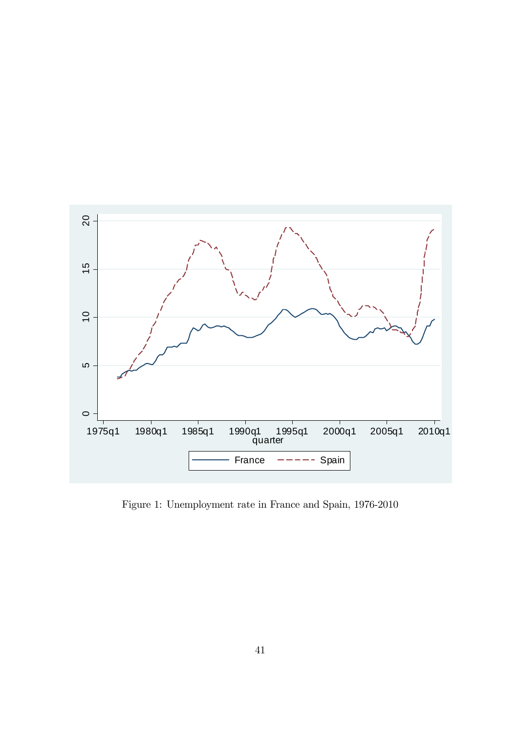

Figure 1: Unemployment rate in France and Spain, 1976-2010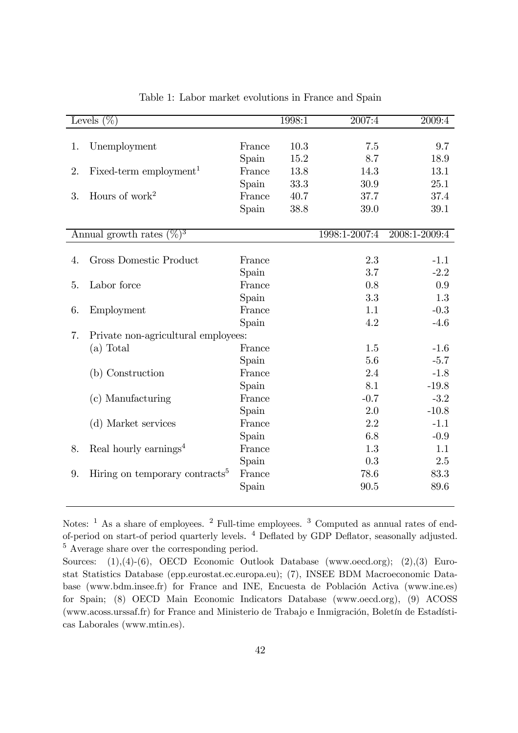| Levels $(\%)$ |                                            |        | 1998:1 | 2007:4        | 2009:4        |
|---------------|--------------------------------------------|--------|--------|---------------|---------------|
|               |                                            |        |        |               |               |
| 1.            | Unemployment                               | France | 10.3   | 7.5           | 9.7           |
|               |                                            | Spain  | 15.2   | 8.7           | 18.9          |
| 2.            | $Fixed-term$ employment <sup>1</sup>       | France | 13.8   | 14.3          | 13.1          |
|               |                                            | Spain  | 33.3   | 30.9          | 25.1          |
| 3.            | Hours of work <sup>2</sup>                 | France | 40.7   | 37.7          | 37.4          |
|               |                                            | Spain  | 38.8   | 39.0          | 39.1          |
|               |                                            |        |        |               |               |
|               | Annual growth rates $(\%)^3$               |        |        | 1998:1-2007:4 | 2008:1-2009:4 |
|               |                                            |        |        |               |               |
| 4.            | Gross Domestic Product                     | France |        | 2.3           | $-1.1$        |
|               |                                            | Spain  |        | 3.7           | $-2.2$        |
| 5.            | Labor force                                | France |        | 0.8           | 0.9           |
|               |                                            | Spain  |        | 3.3           | 1.3           |
| 6.            | Employment                                 | France |        | 1.1           | $-0.3$        |
|               |                                            | Spain  |        | 4.2           | $-4.6$        |
| 7.            | Private non-agricultural employees:        |        |        |               |               |
|               | (a) Total                                  | France |        | 1.5           | $-1.6$        |
|               |                                            | Spain  |        | 5.6           | $-5.7$        |
|               | (b) Construction                           | France |        | 2.4           | $-1.8$        |
|               |                                            | Spain  |        | 8.1           | $-19.8$       |
|               | (c) Manufacturing                          | France |        | $-0.7$        | $-3.2$        |
|               |                                            | Spain  |        | 2.0           | $-10.8$       |
|               | (d) Market services                        | France |        | 2.2           | $-1.1$        |
|               |                                            | Spain  |        | 6.8           | $-0.9$        |
| 8.            | Real hourly earnings <sup>4</sup>          | France |        | 1.3           | 1.1           |
|               |                                            | Spain  |        | 0.3           | 2.5           |
| 9.            | Hiring on temporary contracts <sup>5</sup> | France |        | 78.6          | 83.3          |
|               |                                            | Spain  |        | 90.5          | 89.6          |

Table 1: Labor market evolutions in France and Spain

Notes: <sup>1</sup> As a share of employees. <sup>2</sup> Full-time employees. <sup>3</sup> Computed as annual rates of endof-period on start-of period quarterly levels. <sup>4</sup> Deflated by GDP Deflator, seasonally adjusted. <sup>5</sup> Average share over the corresponding period.

Sources: (1),(4)-(6), OECD Economic Outlook Database (www.oecd.org); (2),(3) Eurostat Statistics Database (epp.eurostat.ec.europa.eu); (7), INSEE BDM Macroeconomic Database (www.bdm.insee.fr) for France and INE, Encuesta de Población Activa (www.ine.es) for Spain; (8) OECD Main Economic Indicators Database (www.oecd.org), (9) ACOSS (www.acoss.urssaf.fr) for France and Ministerio de Trabajo e Inmigración, Boletín de Estadísticas Laborales (www.mtin.es).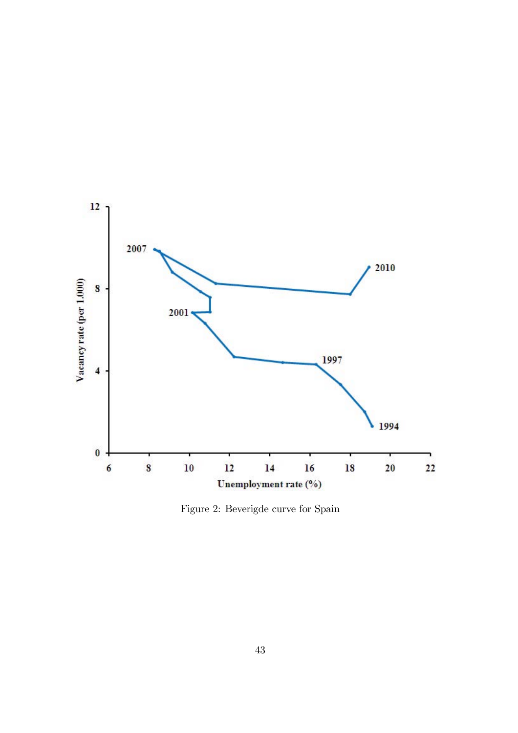

Figure 2: Beverigde curve for Spain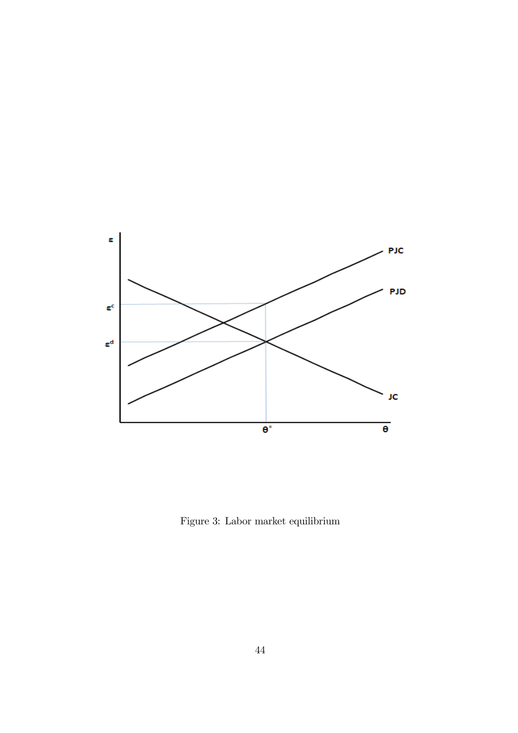

Figure 3: Labor market equilibrium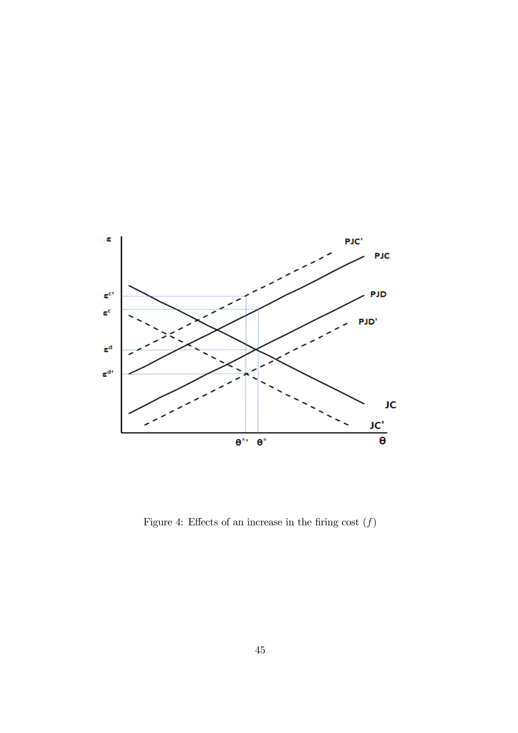

Figure 4: Effects of an increase in the firing cost  $(f)$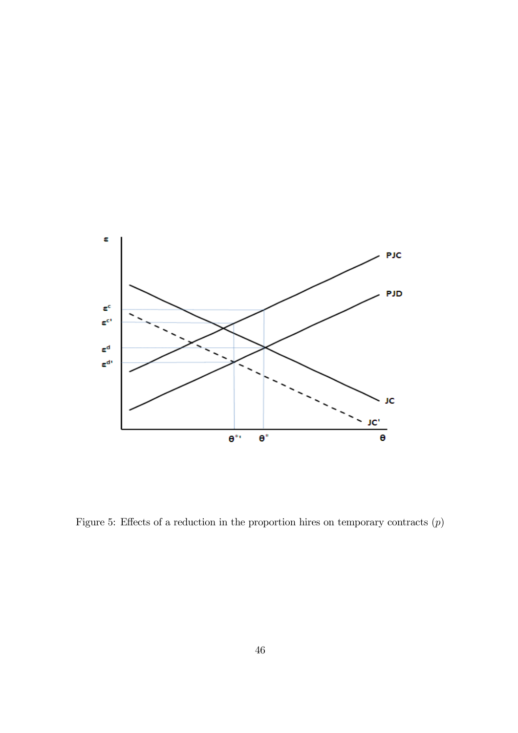

Figure 5: Effects of a reduction in the proportion hires on temporary contracts  $(p)$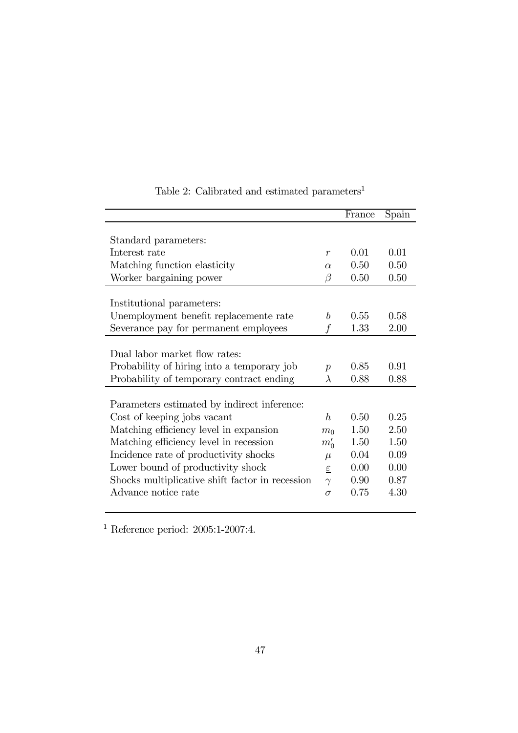|                                                 |                  | France | Spain |
|-------------------------------------------------|------------------|--------|-------|
|                                                 |                  |        |       |
| Standard parameters:                            |                  |        |       |
| Interest rate                                   | $\boldsymbol{r}$ | 0.01   | 0.01  |
| Matching function elasticity                    | $\alpha$         | 0.50   | 0.50  |
| Worker bargaining power                         | β                | 0.50   | 0.50  |
|                                                 |                  |        |       |
| Institutional parameters:                       |                  |        |       |
| Unemployment benefit replacemente rate          | $\boldsymbol{h}$ | 0.55   | 0.58  |
| Severance pay for permanent employees           |                  | 1.33   | 2.00  |
|                                                 |                  |        |       |
| Dual labor market flow rates:                   |                  |        |       |
| Probability of hiring into a temporary job      | $\boldsymbol{p}$ | 0.85   | 0.91  |
| Probability of temporary contract ending        | $\lambda$        | 0.88   | 0.88  |
|                                                 |                  |        |       |
| Parameters estimated by indirect inference:     |                  |        |       |
| Cost of keeping jobs vacant                     | $\hbar$          | 0.50   | 0.25  |
| Matching efficiency level in expansion          | m <sub>0</sub>   | 1.50   | 2.50  |
| Matching efficiency level in recession          | $m_0'$           | 1.50   | 1.50  |
| Incidence rate of productivity shocks           | $\mu$            | 0.04   | 0.09  |
| Lower bound of productivity shock               | $\varepsilon$    | 0.00   | 0.00  |
| Shocks multiplicative shift factor in recession | $\gamma$         | 0.90   | 0.87  |
| Advance notice rate                             | $\sigma$         | 0.75   | 4.30  |
|                                                 |                  |        |       |

## Table 2: Calibrated and estimated parameters<sup>1</sup>

<sup>1</sup> Reference period:  $2005:1-2007:4$ .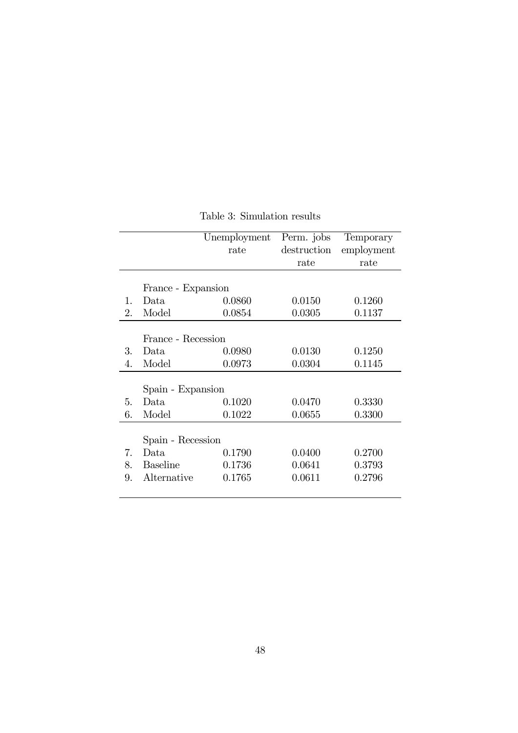|              |                    | Unemployment | Perm. jobs  | Temporary  |
|--------------|--------------------|--------------|-------------|------------|
|              |                    | rate         | destruction | employment |
|              |                    |              | rate        | rate       |
|              |                    |              |             |            |
|              | France - Expansion |              |             |            |
| $\mathbf{1}$ | Data               | 0.0860       | 0.0150      | 0.1260     |
| 2.           | Model              | 0.0854       | 0.0305      | 0.1137     |
|              |                    |              |             |            |
|              | France - Recession |              |             |            |
| 3.           | Data               | 0.0980       | 0.0130      | 0.1250     |
| 4.           | Model              | 0.0973       | 0.0304      | 0.1145     |
|              |                    |              |             |            |
|              | Spain - Expansion  |              |             |            |
| 5.           | Data               | 0.1020       | 0.0470      | 0.3330     |
| 6.           | Model              | 0.1022       | 0.0655      | 0.3300     |
|              |                    |              |             |            |
|              | Spain - Recession  |              |             |            |
| 7.           | Data.              | 0.1790       | 0.0400      | 0.2700     |
| 8.           | <b>Baseline</b>    | 0.1736       | 0.0641      | 0.3793     |
| 9.           | Alternative        | 0.1765       | 0.0611      | 0.2796     |
|              |                    |              |             |            |

Table 3: Simulation results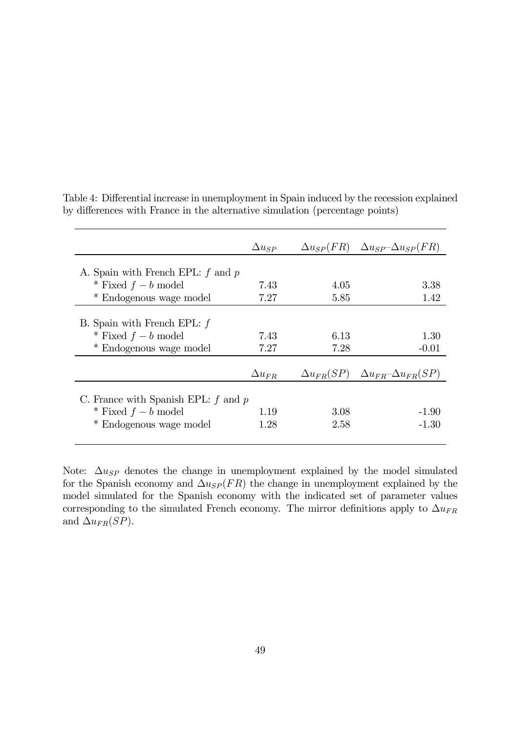|                                         | $\Delta u_{SP}$ |      | $\Delta u_{SP}(FR)$ $\Delta u_{SP} - \Delta u_{SP}(FR)$ |
|-----------------------------------------|-----------------|------|---------------------------------------------------------|
| A. Spain with French EPL: $f$ and $p$   |                 |      |                                                         |
| * Fixed $f-b$ model                     | 7.43            | 4.05 | 3.38                                                    |
| * Endogenous wage model                 | 7.27            | 5.85 | 1.42                                                    |
|                                         |                 |      |                                                         |
| B. Spain with French EPL: $f$           |                 |      |                                                         |
| * Fixed $f-b$ model                     | 7.43            | 6.13 | 1.30                                                    |
| * Endogenous wage model                 | 7.27            | 7.28 | $-0.01$                                                 |
|                                         |                 |      |                                                         |
|                                         | $\Delta u_{FR}$ |      | $\Delta u_{FR}(SP)$ $\Delta u_{FR} - \Delta u_{FR}(SP)$ |
| C. France with Spanish EPL: $f$ and $p$ |                 |      |                                                         |
| * Fixed $f-b$ model                     | 1.19            | 3.08 | $-1.90$                                                 |
| Endogenous wage model                   | 1.28            | 2.58 | $-1.30$                                                 |

Table 4: Differential increase in unemployment in Spain induced by the recession explained by differences with France in the alternative simulation (percentage points)

Note:  $\Delta u_{SP}$  denotes the change in unemployment explained by the model simulated for the Spanish economy and  $\Delta u_{SP}(FR)$  the change in unemployment explained by the model simulated for the Spanish economy with the indicated set of parameter values corresponding to the simulated French economy. The mirror definitions apply to  $\Delta u_{FR}$ and  $\Delta u_{FR}(SP)$ .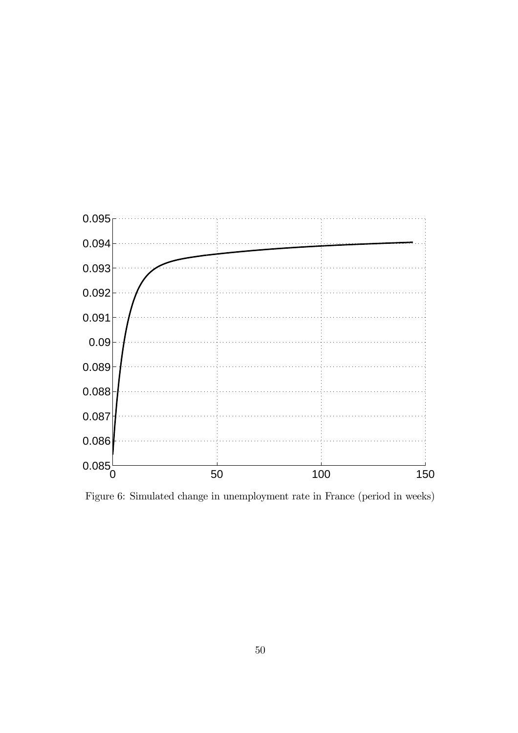

Figure 6: Simulated change in unemployment rate in France (period in weeks)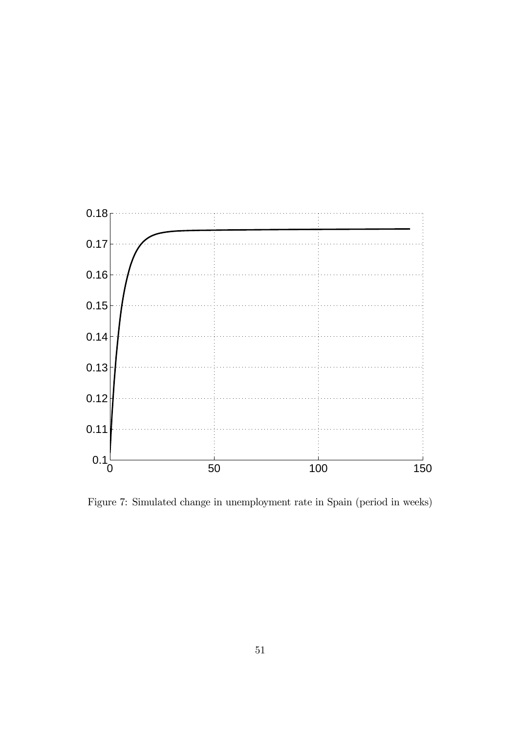

Figure 7: Simulated change in unemployment rate in Spain (period in weeks)